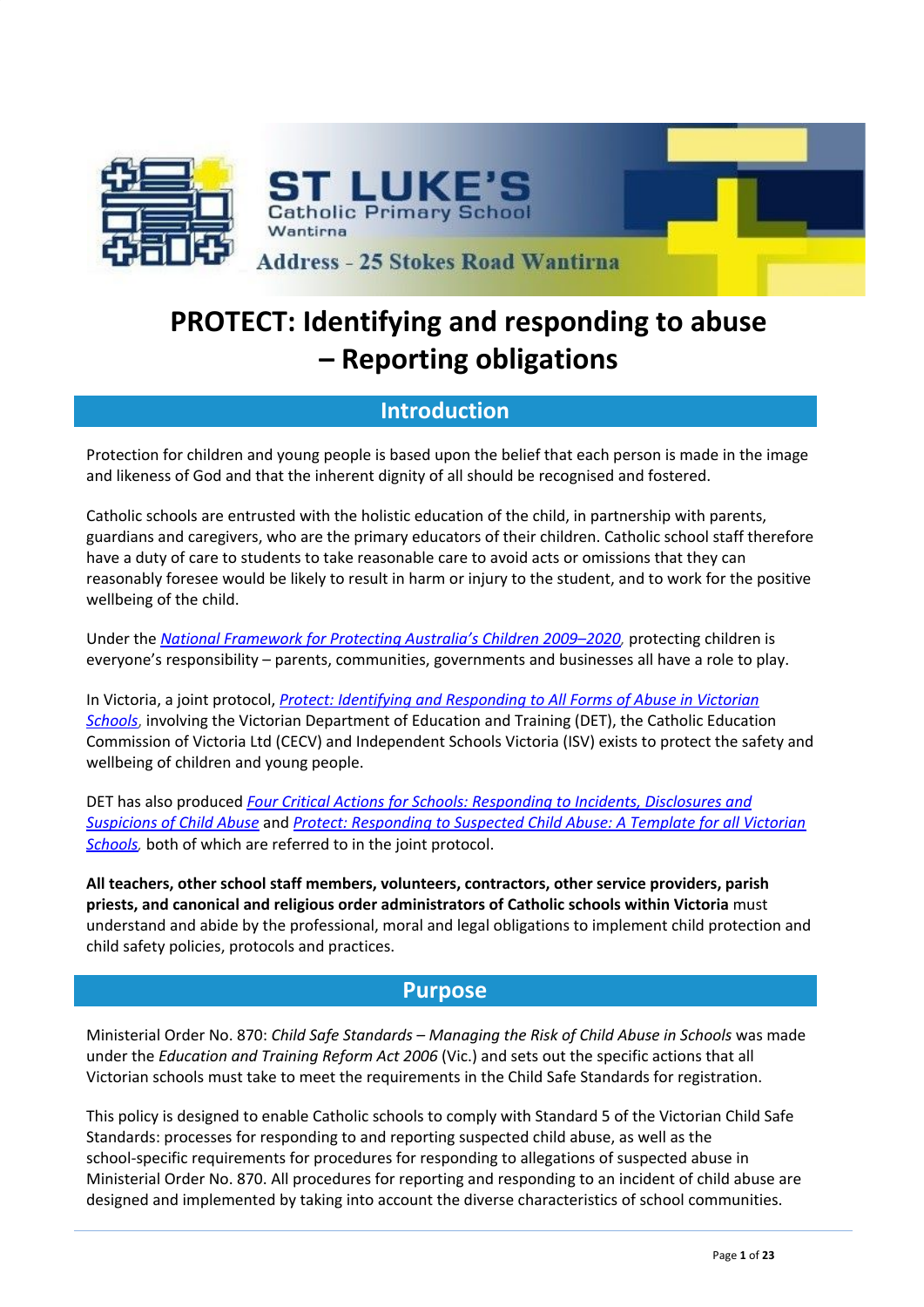

# **PROTECT: Identifying and responding to abuse – Reporting obligations**

# **Introduction**

Protection for children and young people is based upon the belief that each person is made in the image and likeness of God and that the inherent dignity of all should be recognised and fostered.

Catholic schools are entrusted with the holistic education of the child, in partnership with parents, guardians and caregivers, who are the primary educators of their children. Catholic school staff therefore have a duty of care to students to take reasonable care to avoid acts or omissions that they can reasonably foresee would be likely to result in harm or injury to the student, and to work for the positive wellbeing of the child.

Under the *National [Framework](https://www.dss.gov.au/our-responsibilities/families-and-children/publications-articles/protecting-children-is-everyones-business) for Protecting Australia's Children 2009–2020[,](https://www.dss.gov.au/our-responsibilities/families-and-children/publications-articles/protecting-children-is-everyones-business)* protecting children is everyone's responsibility – parents, communities, governments and businesses all have a role to play.

In Victoria, a joint protocol, *Protect: Identifying and [Responding](http://www.education.vic.gov.au/Documents/about/programs/health/protect/ChildSafeStandard5_SchoolsGuide.pdf) to All Forms of Abuse in Victorian [Schools](http://www.education.vic.gov.au/Documents/about/programs/health/protect/ChildSafeStandard5_SchoolsGuide.pdf)*[,](http://www.education.vic.gov.au/Documents/about/programs/health/protect/ChildSafeStandard5_SchoolsGuide.pdf) involving the Victorian Department of Education and Training (DET), the Catholic Education Commission of Victoria Ltd (CECV) and Independent Schools Victoria (ISV) exists to protect the safety and wellbeing of children and young people.

DET has also produced *Four Critical Actions for Schools: [Responding](http://www.education.vic.gov.au/Documents/about/programs/health/protect/FourCriticalActions_ChildAbuse.pdf) to Incidents, Disclosures and [Suspicions](http://www.education.vic.gov.au/Documents/about/programs/health/protect/FourCriticalActions_ChildAbuse.pdf) of Child Abus[e](http://www.education.vic.gov.au/Documents/about/programs/health/protect/FourCriticalActions_ChildAbuse.pdf)* and *Protect: [Responding](http://www.education.vic.gov.au/Documents/about/programs/health/protect/PROTECT_Responding_TemplateSchools.pdf) to Suspected Child Abuse: A Template for all Victorian [Schools](http://www.education.vic.gov.au/Documents/about/programs/health/protect/PROTECT_Responding_TemplateSchools.pdf),* both of which are referred to in the joint protocol.

**All teachers, other school staff members, volunteers, contractors, other service providers, parish priests, and canonical and religious order administrators of Catholic schools within Victoria** must understand and abide by the professional, moral and legal obligations to implement child protection and child safety policies, protocols and practices.

# **Purpose**

Ministerial Order No. 870: *Child Safe Standards – Managing the Risk of Child Abuse in Schools* was made under the *Education and Training Reform Act 2006* (Vic.) and sets out the specific actions that all Victorian schools must take to meet the requirements in the Child Safe Standards for registration.

This policy is designed to enable Catholic schools to comply with Standard 5 of the Victorian Child Safe Standards: processes for responding to and reporting suspected child abuse, as well as the school-specific requirements for procedures for responding to allegations of suspected abuse in Ministerial Order No. 870. All procedures for reporting and responding to an incident of child abuse are designed and implemented by taking into account the diverse characteristics of school communities.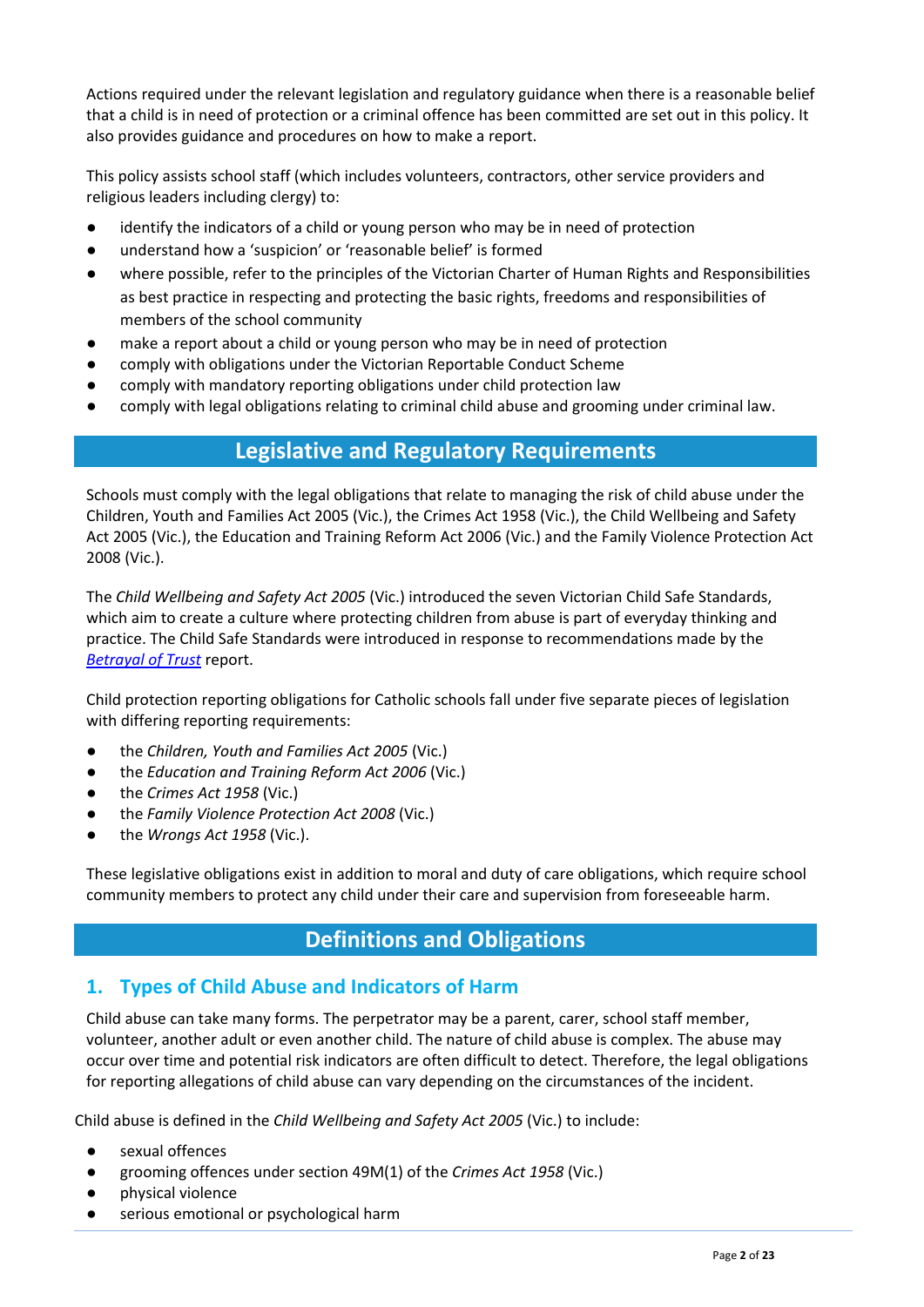Actions required under the relevant legislation and regulatory guidance when there is a reasonable belief that a child is in need of protection or a criminal offence has been committed are set out in this policy. It also provides guidance and procedures on how to make a report.

This policy assists school staff (which includes volunteers, contractors, other service providers and religious leaders including clergy) to:

- identify the indicators of a child or young person who may be in need of protection
- understand how a 'suspicion' or 'reasonable belief' is formed
- where possible, refer to the principles of the Victorian Charter of Human Rights and Responsibilities as best practice in respecting and protecting the basic rights, freedoms and responsibilities of members of the school community
- make a report about a child or young person who may be in need of protection
- comply with obligations under the Victorian Reportable Conduct Scheme
- comply with mandatory reporting obligations under child protection law
- comply with legal obligations relating to criminal child abuse and grooming under criminal law.

# **Legislative and Regulatory Requirements**

Schools must comply with the legal obligations that relate to managing the risk of child abuse under the Children, Youth and Families Act 2005 (Vic.), the Crimes Act 1958 (Vic.), the Child Wellbeing and Safety Act 2005 (Vic.), the Education and Training Reform Act 2006 (Vic.) and the Family Violence Protection Act 2008 (Vic.).

The *Child Wellbeing and Safety Act 2005* (Vic.) introduced the seven Victorian Child Safe Standards, which aim to create a culture where protecting children from abuse is part of everyday thinking and practice. The Child Safe Standards were introduced in response to recommendations made by the *[Betrayal](http://www.parliament.vic.gov.au/file_uploads/Inquiry_into_Handling_of_Abuse_Volume_2_FINAL_web_y78t3Wpb.pdf) of Trust* report.

Child protection reporting obligations for Catholic schools fall under five separate pieces of legislation with differing reporting requirements:

- the *Children, Youth and Families Act 2005* (Vic.)
- the *Education and Training Reform Act 2006* (Vic.)
- the *Crimes Act 1958* (Vic.)
- the *Family Violence Protection Act 2008* (Vic.)
- the *Wrongs Act 1958* (Vic.).

These legislative obligations exist in addition to moral and duty of care obligations, which require school community members to protect any child under their care and supervision from foreseeable harm.

# **Definitions and Obligations**

# **1. Types of Child Abuse and Indicators of Harm**

Child abuse can take many forms. The perpetrator may be a parent, carer, school staff member, volunteer, another adult or even another child. The nature of child abuse is complex. The abuse may occur over time and potential risk indicators are often difficult to detect. Therefore, the legal obligations for reporting allegations of child abuse can vary depending on the circumstances of the incident.

Child abuse is defined in the *Child Wellbeing and Safety Act 2005* (Vic.) to include:

- sexual offences
- grooming offences under section 49M(1) of the *Crimes Act 1958* (Vic.)
- physical violence
- serious emotional or psychological harm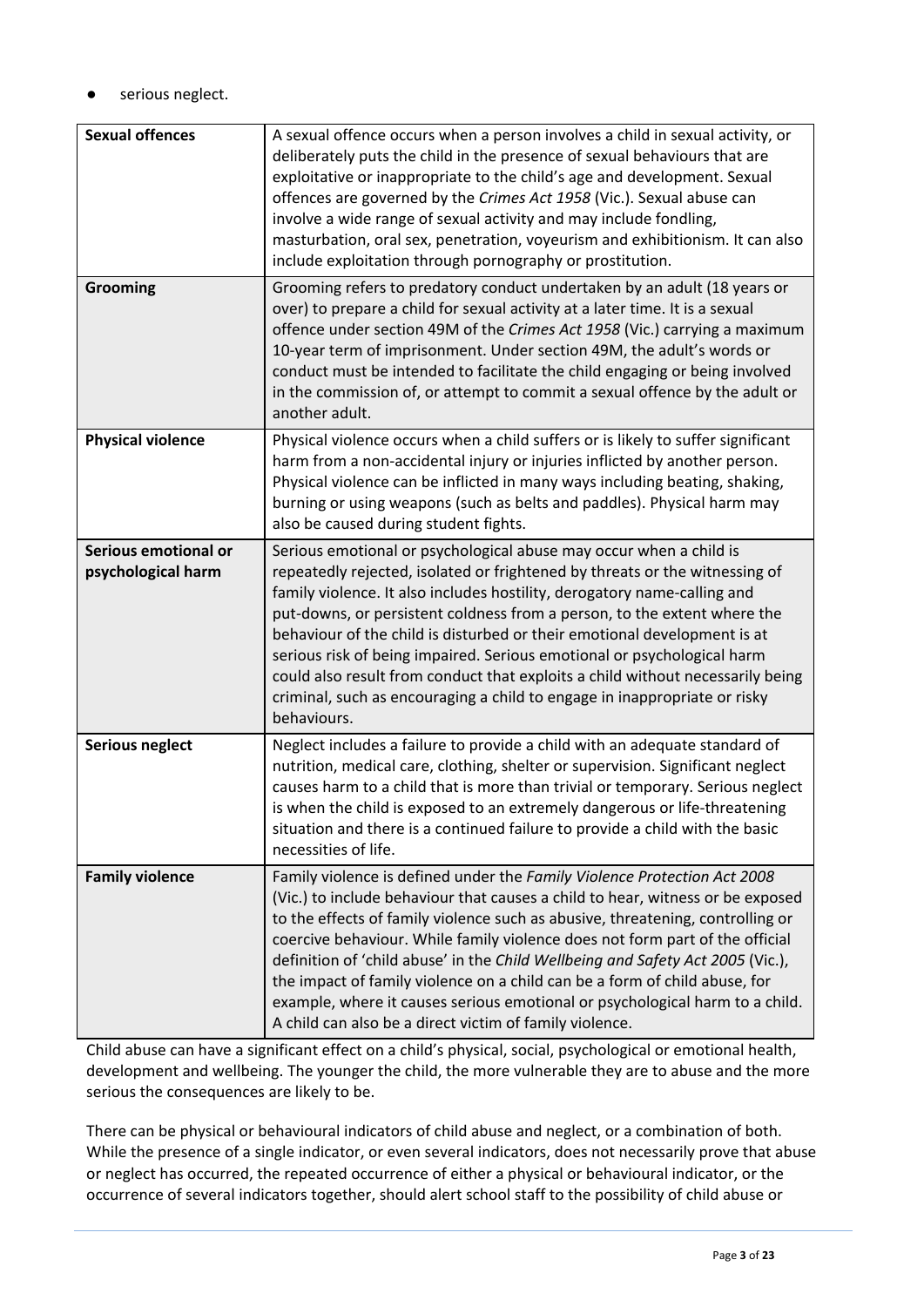#### serious neglect.

| <b>Sexual offences</b>                     | A sexual offence occurs when a person involves a child in sexual activity, or<br>deliberately puts the child in the presence of sexual behaviours that are<br>exploitative or inappropriate to the child's age and development. Sexual<br>offences are governed by the Crimes Act 1958 (Vic.). Sexual abuse can<br>involve a wide range of sexual activity and may include fondling,<br>masturbation, oral sex, penetration, voyeurism and exhibitionism. It can also<br>include exploitation through pornography or prostitution.                                                                                                             |
|--------------------------------------------|------------------------------------------------------------------------------------------------------------------------------------------------------------------------------------------------------------------------------------------------------------------------------------------------------------------------------------------------------------------------------------------------------------------------------------------------------------------------------------------------------------------------------------------------------------------------------------------------------------------------------------------------|
| <b>Grooming</b>                            | Grooming refers to predatory conduct undertaken by an adult (18 years or<br>over) to prepare a child for sexual activity at a later time. It is a sexual<br>offence under section 49M of the Crimes Act 1958 (Vic.) carrying a maximum<br>10-year term of imprisonment. Under section 49M, the adult's words or<br>conduct must be intended to facilitate the child engaging or being involved<br>in the commission of, or attempt to commit a sexual offence by the adult or<br>another adult.                                                                                                                                                |
| <b>Physical violence</b>                   | Physical violence occurs when a child suffers or is likely to suffer significant<br>harm from a non-accidental injury or injuries inflicted by another person.<br>Physical violence can be inflicted in many ways including beating, shaking,<br>burning or using weapons (such as belts and paddles). Physical harm may<br>also be caused during student fights.                                                                                                                                                                                                                                                                              |
| Serious emotional or<br>psychological harm | Serious emotional or psychological abuse may occur when a child is<br>repeatedly rejected, isolated or frightened by threats or the witnessing of<br>family violence. It also includes hostility, derogatory name-calling and<br>put-downs, or persistent coldness from a person, to the extent where the<br>behaviour of the child is disturbed or their emotional development is at<br>serious risk of being impaired. Serious emotional or psychological harm<br>could also result from conduct that exploits a child without necessarily being<br>criminal, such as encouraging a child to engage in inappropriate or risky<br>behaviours. |
| <b>Serious neglect</b>                     | Neglect includes a failure to provide a child with an adequate standard of<br>nutrition, medical care, clothing, shelter or supervision. Significant neglect<br>causes harm to a child that is more than trivial or temporary. Serious neglect<br>is when the child is exposed to an extremely dangerous or life-threatening<br>situation and there is a continued failure to provide a child with the basic<br>necessities of life.                                                                                                                                                                                                           |
| <b>Family violence</b>                     | Family violence is defined under the Family Violence Protection Act 2008<br>(Vic.) to include behaviour that causes a child to hear, witness or be exposed<br>to the effects of family violence such as abusive, threatening, controlling or<br>coercive behaviour. While family violence does not form part of the official<br>definition of 'child abuse' in the Child Wellbeing and Safety Act 2005 (Vic.),<br>the impact of family violence on a child can be a form of child abuse, for<br>example, where it causes serious emotional or psychological harm to a child.<br>A child can also be a direct victim of family violence.        |

Child abuse can have a significant effect on a child's physical, social, psychological or emotional health, development and wellbeing. The younger the child, the more vulnerable they are to abuse and the more serious the consequences are likely to be.

There can be physical or behavioural indicators of child abuse and neglect, or a combination of both. While the presence of a single indicator, or even several indicators, does not necessarily prove that abuse or neglect has occurred, the repeated occurrence of either a physical or behavioural indicator, or the occurrence of several indicators together, should alert school staff to the possibility of child abuse or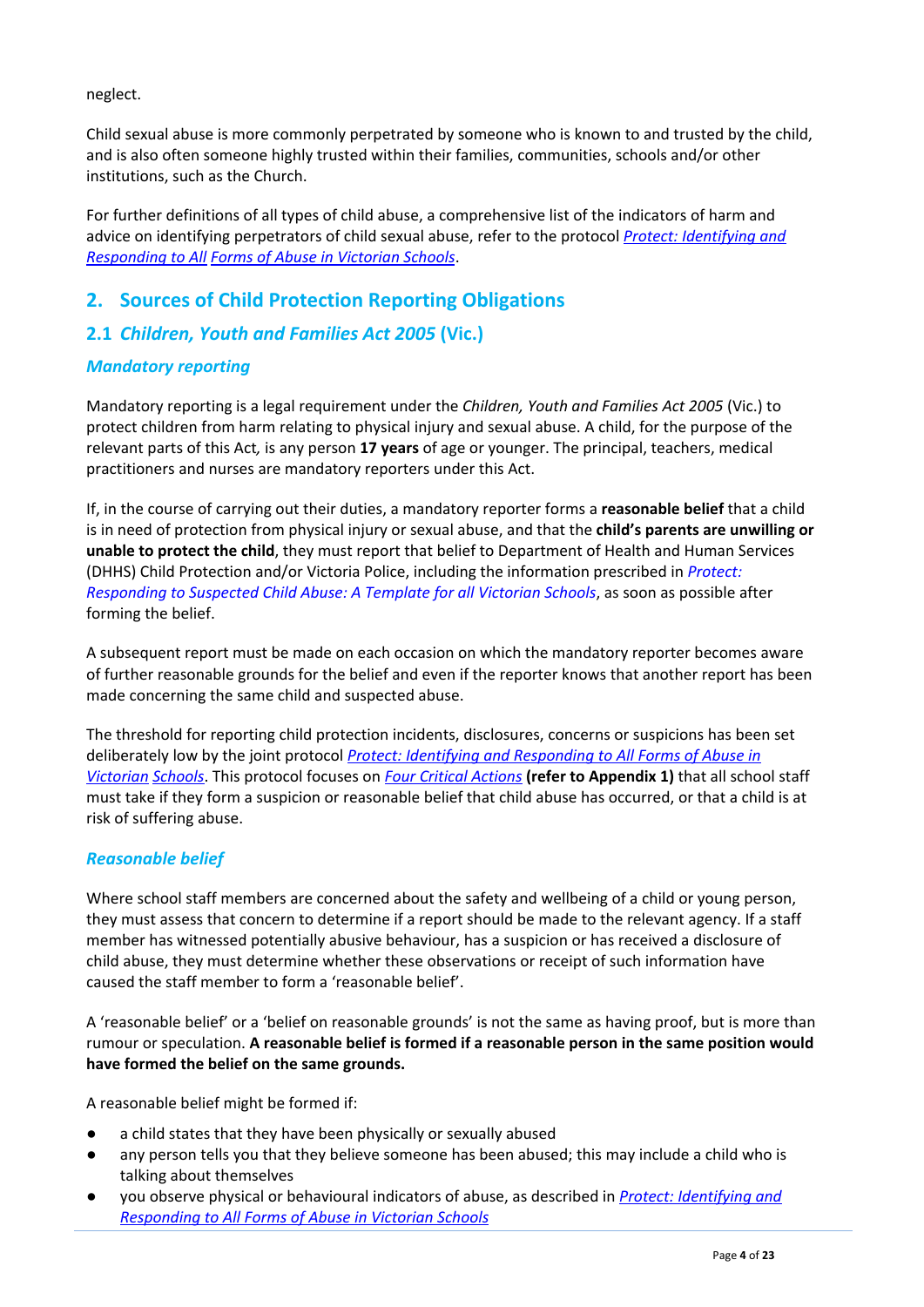neglect.

Child sexual abuse is more commonly perpetrated by someone who is known to and trusted by the child, and is also often someone highly trusted within their families, communities, schools and/or other institutions, such as the Church.

For further definitions of all types of child abuse, a comprehensive list of the indicators of harm and advice on identifying perpetrators of child sexual abuse, refer to the protocol *Protect: [Identifying](http://www.education.vic.gov.au/Documents/about/programs/health/protect/ChildSafeStandard5_SchoolsGuide.pdf) and [Responding](http://www.education.vic.gov.au/Documents/about/programs/health/protect/ChildSafeStandard5_SchoolsGuide.pdf) to All Forms of Abuse in [Victorian](http://www.education.vic.gov.au/Documents/about/programs/health/protect/ChildSafeStandard5_SchoolsGuide.pdf) Schools*[.](http://www.education.vic.gov.au/Documents/about/programs/health/protect/ChildSafeStandard5_SchoolsGuide.pdf)

# **2. Sources of Child Protection Reporting Obligations**

# **2.1** *Children, Youth and Families Act 2005* **(Vic.)**

## *Mandatory reporting*

Mandatory reporting is a legal requirement under the *Children, Youth and Families Act 2005* (Vic.) to protect children from harm relating to physical injury and sexual abuse. A child, for the purpose of the relevant parts of this Act*,* is any person **17 years** of age or younger. The principal, teachers, medical practitioners and nurses are mandatory reporters under this Act.

If, in the course of carrying out their duties, a mandatory reporter forms a **reasonable belief** that a child is in need of protection from physical injury or sexual abuse, and that the **child's parents are unwilling or unable to protect the child**, they must report that belief to Department of Health and Human Services (DHHS) Child Protection and/or Victoria Police, including the information prescribed in *[Protect:](http://www.education.vic.gov.au/Documents/about/programs/health/protect/PROTECT_Responding_TemplateSchools.pdf) [Responding](http://www.education.vic.gov.au/Documents/about/programs/health/protect/PROTECT_Responding_TemplateSchools.pdf) to Suspected Child Abuse: A Template for all Victorian Schools*, as soon as possible after forming the belief.

A subsequent report must be made on each occasion on which the mandatory reporter becomes aware of further reasonable grounds for the belief and even if the reporter knows that another report has been made concerning the same child and suspected abuse.

The threshold for reporting child protection incidents, disclosures, concerns or suspicions has been set deliberately low by the joint protocol *Protect: Identifying and [Responding](http://www.education.vic.gov.au/Documents/about/programs/health/protect/ChildSafeStandard5_SchoolsGuide.pdf) to All Forms of Abuse in [Victorian](http://www.education.vic.gov.au/Documents/about/programs/health/protect/ChildSafeStandard5_SchoolsGuide.pdf) [Schools](http://www.education.vic.gov.au/Documents/about/programs/health/protect/ChildSafeStandard5_SchoolsGuide.pdf)*[.](http://www.education.vic.gov.au/Documents/about/programs/health/protect/ChildSafeStandard5_SchoolsGuide.pdf) This protocol focuses on *Four Critical [Actions](http://www.education.vic.gov.au/Documents/about/programs/health/protect/FourCriticalActions_ChildAbuse.pdf)* **(refer to Appendix 1)** that all school staff must take if they form a suspicion or reasonable belief that child abuse has occurred, or that a child is at risk of suffering abuse.

### *Reasonable belief*

Where school staff members are concerned about the safety and wellbeing of a child or young person, they must assess that concern to determine if a report should be made to the relevant agency. If a staff member has witnessed potentially abusive behaviour, has a suspicion or has received a disclosure of child abuse, they must determine whether these observations or receipt of such information have caused the staff member to form a 'reasonable belief'.

A 'reasonable belief' or a 'belief on reasonable grounds' is not the same as having proof, but is more than rumour or speculation. **A reasonable belief is formed if a reasonable person in the same position would have formed the belief on the same grounds.**

A reasonable belief might be formed if:

- a child states that they have been physically or sexually abused
- any person tells you that they believe someone has been abused; this may include a child who is talking about themselves
- *●* you observe physical or behavioural indicators of abuse, as described in *Protect: [Identifying](http://www.education.vic.gov.au/Documents/about/programs/health/protect/ChildSafeStandard5_SchoolsGuide.pdf) an[d](http://www.education.vic.gov.au/Documents/about/programs/health/protect/ChildSafeStandard5_SchoolsGuide.pdf) [Responding](http://www.education.vic.gov.au/Documents/about/programs/health/protect/ChildSafeStandard5_SchoolsGuide.pdf) to All Forms of Abuse in Victorian Schools*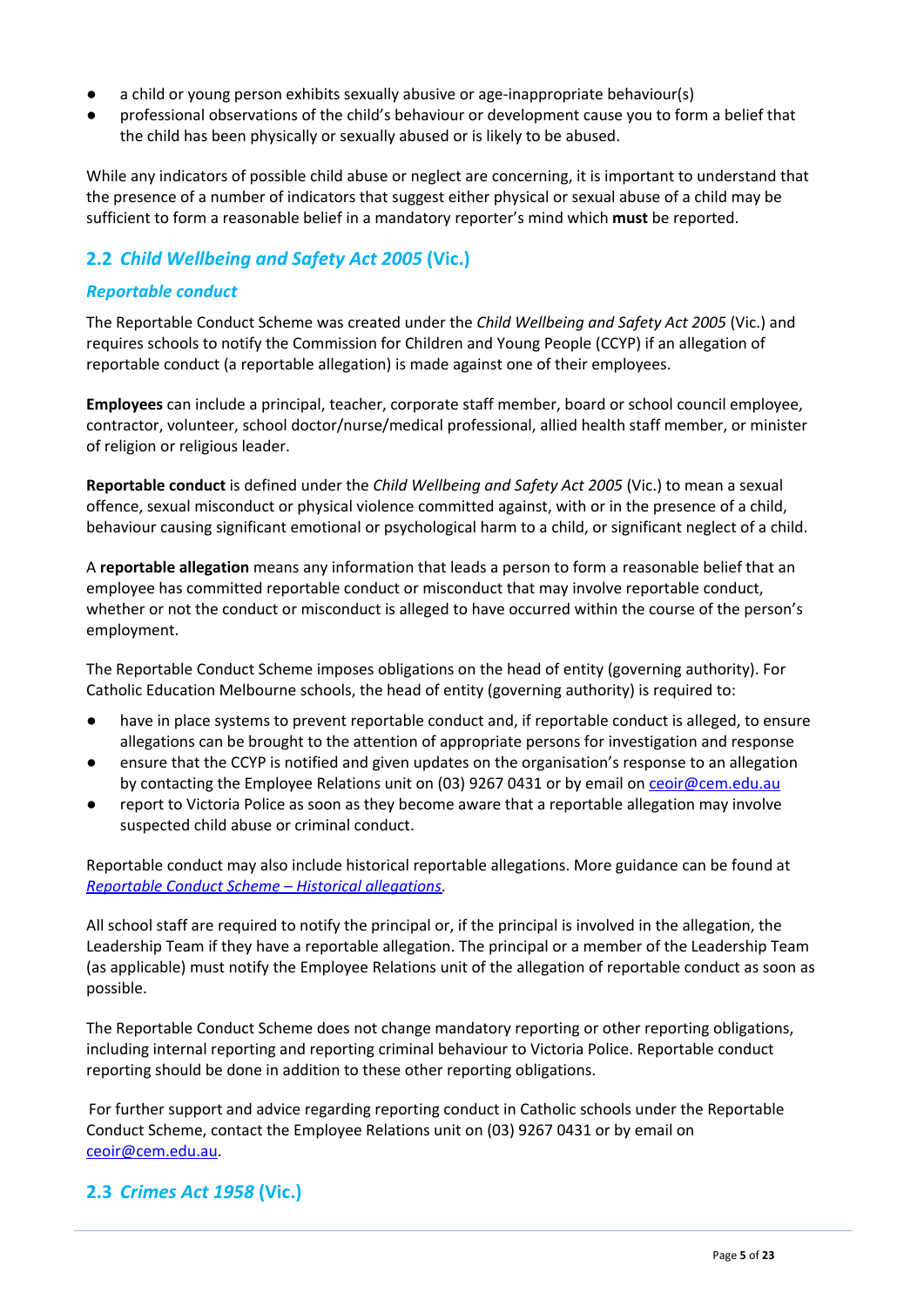- a child or young person exhibits sexually abusive or age-inappropriate behaviour(s)
- professional observations of the child's behaviour or development cause you to form a belief that the child has been physically or sexually abused or is likely to be abused.

While any indicators of possible child abuse or neglect are concerning, it is important to understand that the presence of a number of indicators that suggest either physical or sexual abuse of a child may be sufficient to form a reasonable belief in a mandatory reporter's mind which **must** be reported.

# **2.2** *Child Wellbeing and Safety Act 2005* **(Vic.)**

### *Reportable conduct*

The Reportable Conduct Scheme was created under the *Child Wellbeing and Safety Act 2005* (Vic.) and requires schools to notify the Commission for Children and Young People (CCYP) if an allegation of reportable conduct (a reportable allegation) is made against one of their employees.

**Employees** can include a principal, teacher, corporate staff member, board or school council employee, contractor, volunteer, school doctor/nurse/medical professional, allied health staff member, or minister of religion or religious leader.

**Reportable conduct** is defined under the *Child Wellbeing and Safety Act 2005* (Vic.) to mean a sexual offence, sexual misconduct or physical violence committed against, with or in the presence of a child, behaviour causing significant emotional or psychological harm to a child, or significant neglect of a child.

A **reportable allegation** means any information that leads a person to form a reasonable belief that an employee has committed reportable conduct or misconduct that may involve reportable conduct, whether or not the conduct or misconduct is alleged to have occurred within the course of the person's employment.

The Reportable Conduct Scheme imposes obligations on the head of entity (governing authority). For Catholic Education Melbourne schools, the head of entity (governing authority) is required to:

- have in place systems to prevent reportable conduct and, if reportable conduct is alleged, to ensure allegations can be brought to the attention of appropriate persons for investigation and response
- ensure that the CCYP is notified and given updates on the organisation's response to an allegation by contacting the Employee Relations unit on (03) 9267 0431 or by email on [ceoir@cem.edu.au](mailto:ceoir@cem.edu.au)
- report to Victoria Police as soon as they become aware that a reportable allegation may involve suspected child abuse or criminal conduct.

Reportable conduct may also include historical reportable allegations. More guidance can be found at *Reportable Conduct Scheme – Historical [allegations](https://ccyp.vic.gov.au/assets/resources/RCSInfoSheetUpdates/Historical-Allegations-110718.pdf)*.

All school staff are required to notify the principal or, if the principal is involved in the allegation, the Leadership Team if they have a reportable allegation. The principal or a member of the Leadership Team (as applicable) must notify the Employee Relations unit of the allegation of reportable conduct as soon as possible.

The Reportable Conduct Scheme does not change mandatory reporting or other reporting obligations, including internal reporting and reporting criminal behaviour to Victoria Police. Reportable conduct reporting should be done in addition to these other reporting obligations.

For further support and advice regarding reporting conduct in Catholic schools under the Reportable Conduct Scheme, contact the Employee Relations unit on (03) 9267 0431 or by email on [ceoir@cem.edu.au](mailto:ceoir@cem.edu.au).

### **2.3** *Crimes Act 1958* **(Vic.)**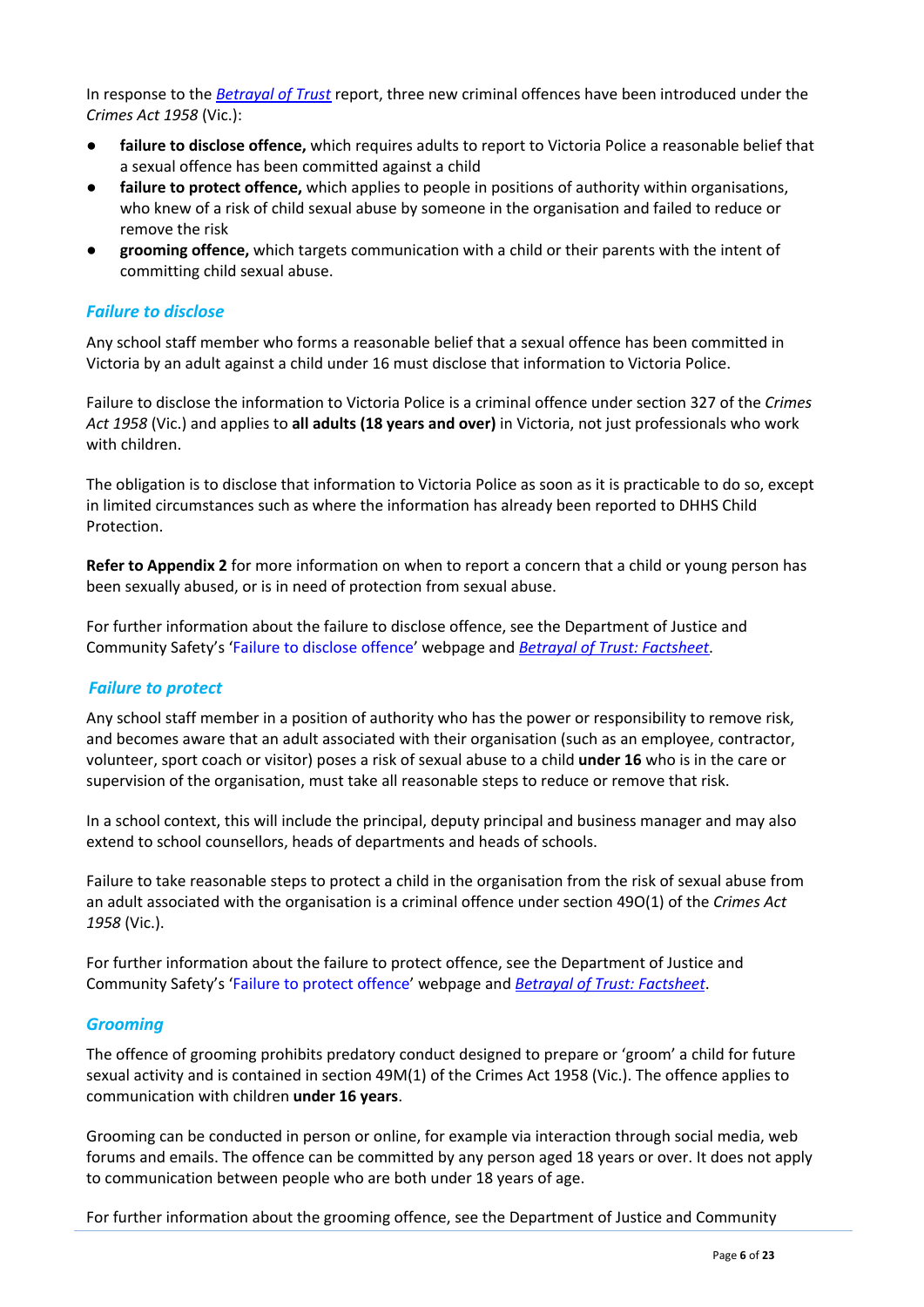In response to the *[Betrayal](http://www.parliament.vic.gov.au/file_uploads/Inquiry_into_Handling_of_Abuse_Volume_2_FINAL_web_y78t3Wpb.pdf) of Trust* report, three new criminal offences have been introduced under the *Crimes Act 1958* (Vic.):

- **failure to disclose [offence,](http://www.justice.vic.gov.au/home/safer%2Bcommunities/protecting%2Bchildren%2Band%2Bfamilies/failure%2Bto%2Bdisclose%2Boffence)** which requires adults to report to Victoria Police a reasonable belief that a sexual offence has been committed against a child
- **failure to protect [offence,](http://www.justice.vic.gov.au/home/safer%2Bcommunities/protecting%2Bchildren%2Band%2Bfamilies/failure%2Bto%2Bprotect%2Boffence)** which applies to people in positions of authority within organisations, who knew of a risk of child sexual abuse by someone in the organisation and failed to reduce or remove the risk
- **[grooming](http://www.justice.vic.gov.au/home/safer%2Bcommunities/protecting%2Bchildren%2Band%2Bfamilies/grooming%2Boffence) offence,** which targets communication with a child or their parents with the intent of committing child sexual abuse.

### *Failure to disclose*

Any school staff member who forms a reasonable belief that a sexual offence has been committed in Victoria by an adult against a child under 16 must disclose that information to Victoria Police.

Failure to disclose the information to Victoria Police is a criminal offence under section 327 of the *Crimes Act 1958* (Vic.) and applies to **all adults (18 years and over)** in Victoria, not just professionals who work with children.

The obligation is to disclose that information to Victoria Police as soon as it is practicable to do so, except in limited circumstances such as where the information has already been reported to DHHS Child Protection.

**Refer to Appendix 2** for more information on when to report a concern that a child or young person has been sexually abused, or is in need of protection from sexual abuse.

For further information about the failure to disclose offence, see the Department of Justice and Community Safety's 'Failure to [disclose](https://www.justice.vic.gov.au/safer-communities/protecting-children-and-families/failure-to-disclose-offence) offence' webpage and *Betrayal of Trust: [Factsheet](https://assets.justice.vic.gov.au/justice/resources/ea484f74-feb7-400e-ad68-9bd0be8e2a40/failure_to_disclose_betrayal_of_trust_factsheet_2017.pdf)*.

#### *Failure to protect*

Any school staff member in a position of authority who has the power or responsibility to remove risk, and becomes aware that an adult associated with their organisation (such as an employee, contractor, volunteer, sport coach or visitor) poses a risk of sexual abuse to a child **under 16** who is in the care or supervision of the organisation, must take all reasonable steps to reduce or remove that risk.

In a school context, this will include the principal, deputy principal and business manager and may also extend to school counsellors, heads of departments and heads of schools.

Failure to take reasonable steps to protect a child in the organisation from the risk of sexual abuse from an adult associated with the organisation is a criminal offence under section 49O(1) of the *Crimes Act 1958* (Vic.).

For further information about the failure to protect offence, see the Department of Justice and Community Safety's 'Failure to protect [offence](https://www.justice.vic.gov.au/safer-communities/protecting-children-and-families/failure-to-protect-a-new-criminal-offence-to)' webpage and *Betrayal of Trust: [Factsheet](https://www.justice.vic.gov.au/sites/default/files/embridge_cache/emshare/original/public/2018/07/a9/431cfe3d9/failure_to_protect_betrayal_of_trust_factsheet_2017.pdf)*.

#### *Grooming*

The offence of grooming prohibits predatory conduct designed to prepare or 'groom' a child for future sexual activity and is contained in section 49M(1) of the Crimes Act 1958 (Vic.). The offence applies to communication with children **under 16 years**.

Grooming can be conducted in person or online, for example via interaction through social media, web forums and emails. The offence can be committed by any person aged 18 years or over. It does not apply to communication between people who are both under 18 years of age.

For further information about the grooming offence, see the Department of Justice and Community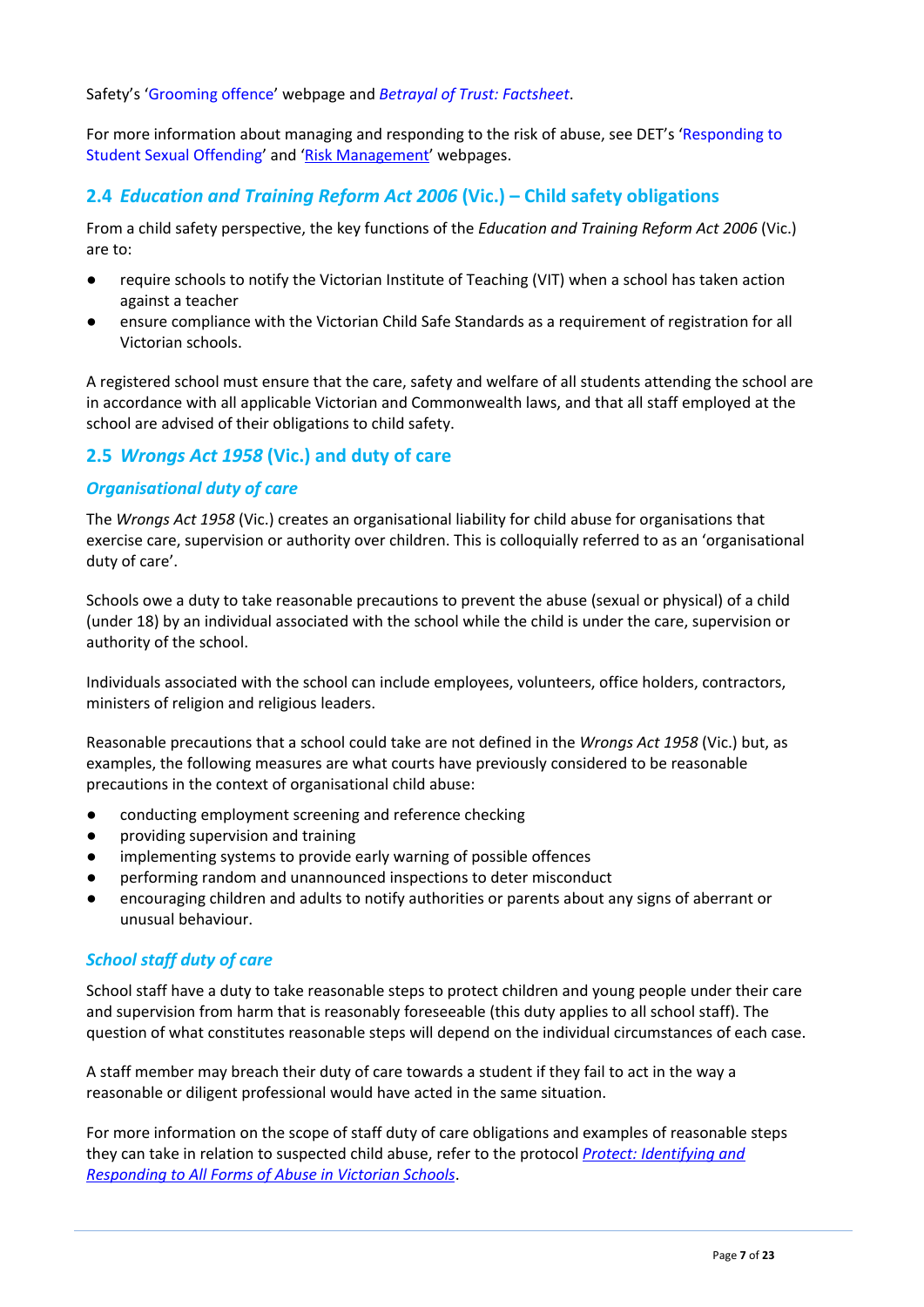Safety's '[Grooming](https://www.justice.vic.gov.au/safer-communities/protecting-children-and-families/grooming-offence) offence' webpage and *Betrayal of Trust: [Factsheet](https://www.justice.vic.gov.au/sites/default/files/embridge_cache/emshare/original/public/2018/07/ea/2bff28cdf/grooming_betrayal_of_trust_factsheet_2017.pdf)*.

For more information about managing and responding to the risk of abuse, see DET's '[Responding](http://www.education.vic.gov.au/school/principals/spag/safety/Pages/sexualassault.aspx) to Student Sexual [Offending'](http://www.education.vic.gov.au/school/principals/spag/safety/Pages/sexualassault.aspx) and 'Risk [Management](http://www.education.vic.gov.au/school/principals/spag/governance/Pages/risk.aspx)' webpages.

# **2.4** *Education and Training Reform Act 2006* **(Vic.) – Child safety obligations**

From a child safety perspective, the key functions of the *Education and Training Reform Act 2006* (Vic.) are to:

- require schools to notify the Victorian Institute of Teaching (VIT) when a school has taken action against a teacher
- ensure compliance with the Victorian Child Safe Standards as a requirement of registration for all Victorian schools.

A registered school must ensure that the care, safety and welfare of all students attending the school are in accordance with all applicable Victorian and Commonwealth laws, and that all staff employed at the school are advised of their obligations to child safety.

## **2.5** *Wrongs Act 1958* **(Vic.) and duty of care**

#### *Organisational duty of care*

The *Wrongs Act 1958* (Vic.) creates an organisational liability for child abuse for organisations that exercise care, supervision or authority over children. This is colloquially referred to as an 'organisational duty of care'.

Schools owe a duty to take reasonable precautions to prevent the abuse (sexual or physical) of a child (under 18) by an individual associated with the school while the child is under the care, supervision or authority of the school.

Individuals associated with the school can include employees, volunteers, office holders, contractors, ministers of religion and religious leaders.

Reasonable precautions that a school could take are not defined in the *Wrongs Act 1958* (Vic.) but, as examples, the following measures are what courts have previously considered to be reasonable precautions in the context of organisational child abuse:

- conducting employment screening and reference checking
- providing supervision and training
- implementing systems to provide early warning of possible offences
- performing random and unannounced inspections to deter misconduct
- encouraging children and adults to notify authorities or parents about any signs of aberrant or unusual behaviour.

### *School staff duty of care*

School staff have a duty to take reasonable steps to protect children and young people under their care and supervision from harm that is reasonably foreseeable (this duty applies to all school staff). The question of what constitutes reasonable steps will depend on the individual circumstances of each case.

A staff member may breach their duty of care towards a student if they fail to act in the way a reasonable or diligent professional would have acted in the same situation.

For more information on the scope of staff duty of care obligations and examples of reasonable steps they can take in relation to suspected child abuse, refer to the protocol *Protect: [Identifying](http://www.education.vic.gov.au/Documents/about/programs/health/protect/ChildSafeStandard5_SchoolsGuide.pdf) and [Responding](http://www.education.vic.gov.au/Documents/about/programs/health/protect/ChildSafeStandard5_SchoolsGuide.pdf) to All Forms of Abuse in Victorian Schools*.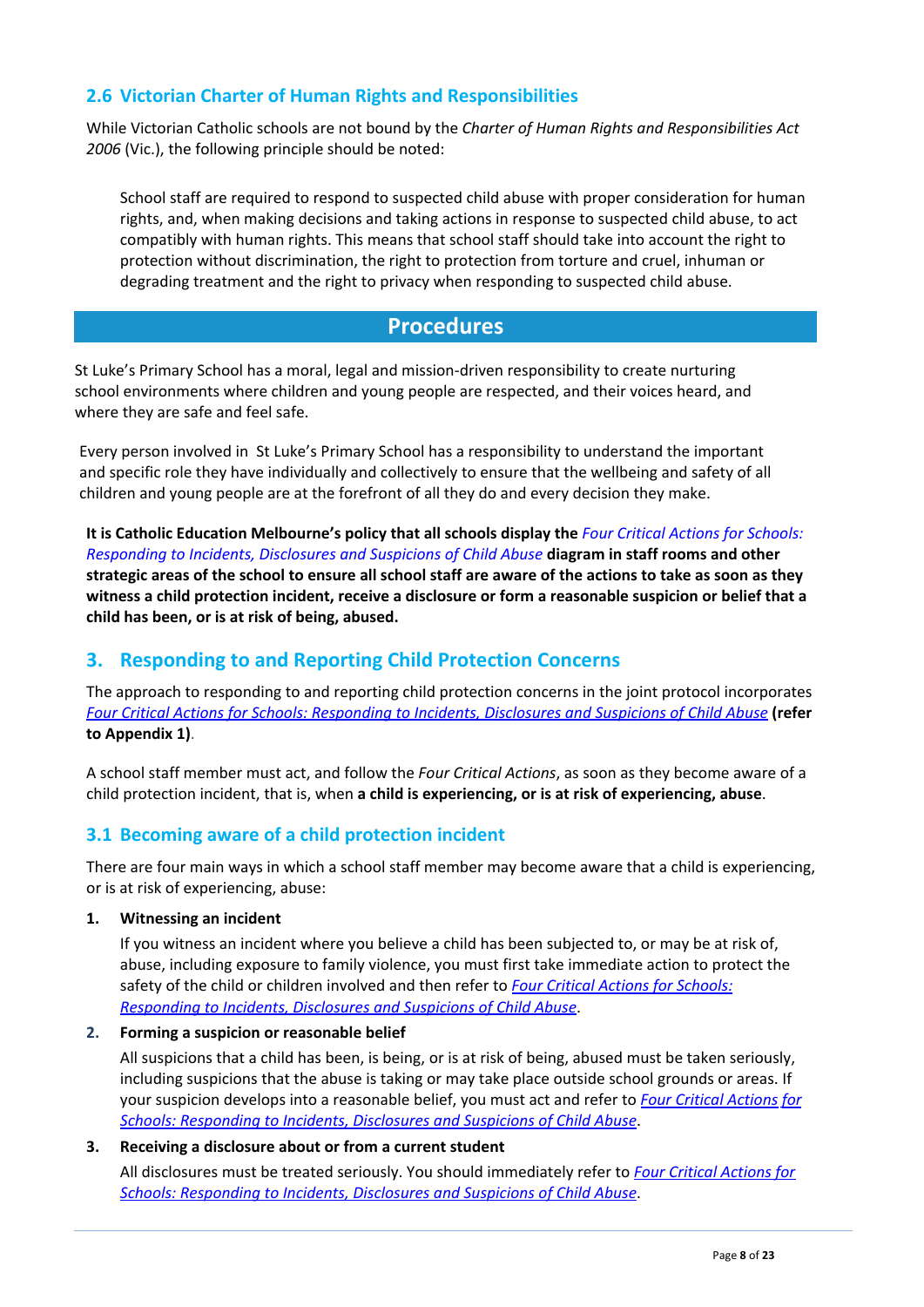# **2.6 Victorian Charter of Human Rights and Responsibilities**

While Victorian Catholic schools are not bound by the *Charter of Human Rights and Responsibilities Act 2006* (Vic.), the following principle should be noted:

School staff are required to respond to suspected child abuse with proper consideration for human rights, and, when making decisions and taking actions in response to suspected child abuse, to act compatibly with human rights. This means that school staff should take into account the right to protection without discrimination, the right to protection from torture and cruel, inhuman or degrading treatment and the right to privacy when responding to suspected child abuse.

# **Procedures**

St Luke's Primary School has a moral, legal and mission-driven responsibility to create nurturing school environments where children and young people are respected, and their voices heard, and where they are safe and feel safe.

Every person involved in St Luke's Primary School has a responsibility to understand the important and specific role they have individually and collectively to ensure that the wellbeing and safety of all children and young people are at the forefront of all they do and every decision they make.

**It is Catholic Education Melbourne's policy that all schools display the** *Four Critical Actions for [Schools:](http://www.education.vic.gov.au/Documents/about/programs/health/protect/FourCriticalActions_ChildAbuse.pdf) [Responding](http://www.education.vic.gov.au/Documents/about/programs/health/protect/FourCriticalActions_ChildAbuse.pdf) to Incidents, Disclosures and Suspicions of Child Abuse* **diagram in staff rooms and other** strategic areas of the school to ensure all school staff are aware of the actions to take as soon as they **witness a child protection incident, receive a disclosure or form a reasonable suspicion or belief that a child has been, or is at risk of being, abused.**

# **3. Responding to and Reporting Child Protection Concerns**

The approach to responding to and reporting child protection concerns in the joint protocol incorporates *Four Critical Actions for Schools: [Responding](http://www.education.vic.gov.au/Documents/about/programs/health/protect/FourCriticalActions_ChildAbuse.pdf) to Incidents, Disclosures and Suspicions of Child Abuse* **[\(refer](http://www.education.vic.gov.au/Documents/about/programs/health/protect/FourCriticalActions_ChildAbuse.pdf) to [Appendix](http://www.education.vic.gov.au/Documents/about/programs/health/protect/FourCriticalActions_ChildAbuse.pdf) 1)**[.](http://www.education.vic.gov.au/Documents/about/programs/health/protect/FourCriticalActions_ChildAbuse.pdf)

A school staff member must act, and follow the *Four Critical Actions*, as soon as they become aware of a child protection incident, that is, when **a child is experiencing, or is at risk of experiencing, abuse**.

# **3.1 Becoming aware of a child protection incident**

There are four main ways in which a school staff member may become aware that a child is experiencing, or is at risk of experiencing, abuse:

**1. Witnessing an incident**

If you witness an incident where you believe a child has been subjected to, or may be at risk of, abuse, including exposure to family violence, you must first take immediate action to protect the safety of the child or children involved and then refer to *[Four](http://www.education.vic.gov.au/Documents/about/programs/health/protect/FourCriticalActions_ChildAbuse.pdf) Critical Actions for [Schools:](http://www.education.vic.gov.au/Documents/about/programs/health/protect/FourCriticalActions_ChildAbuse.pdf) [Responding](http://www.education.vic.gov.au/Documents/about/programs/health/protect/FourCriticalActions_ChildAbuse.pdf) to Incidents, Disclosures and Suspicions of Child Abuse*.

### **2. Forming a suspicion or reasonable belief**

All suspicions that a child has been, is being, or is at risk of being, abused must be taken seriously, including suspicions that the abuse is taking or may take place outside school grounds or areas. If your suspicion develops into a reasonable belief, you must act and refer to *Four Critical [Actions](http://www.education.vic.gov.au/Documents/about/programs/health/protect/FourCriticalActions_ChildAbuse.pdf) [for](http://www.education.vic.gov.au/Documents/about/programs/health/protect/FourCriticalActions_ChildAbuse.pdf) Schools: [Responding](http://www.education.vic.gov.au/Documents/about/programs/health/protect/FourCriticalActions_ChildAbuse.pdf) to Incidents, Disclosures and Suspicions of Child Abuse*.

### **3. Receiving a disclosure about or from a current student**

All disclosures must be treated seriously. You should immediately refer to *Four Critical [Actions](http://www.education.vic.gov.au/Documents/about/programs/health/protect/FourCriticalActions_ChildAbuse.pdf) for Schools: [Responding](http://www.education.vic.gov.au/Documents/about/programs/health/protect/FourCriticalActions_ChildAbuse.pdf) to Incidents, Disclosures and [Suspicions](http://www.education.vic.gov.au/Documents/about/programs/health/protect/FourCriticalActions_ChildAbuse.pdf) of Child Abuse*[.](http://www.education.vic.gov.au/Documents/about/programs/health/protect/FourCriticalActions_ChildAbuse.pdf)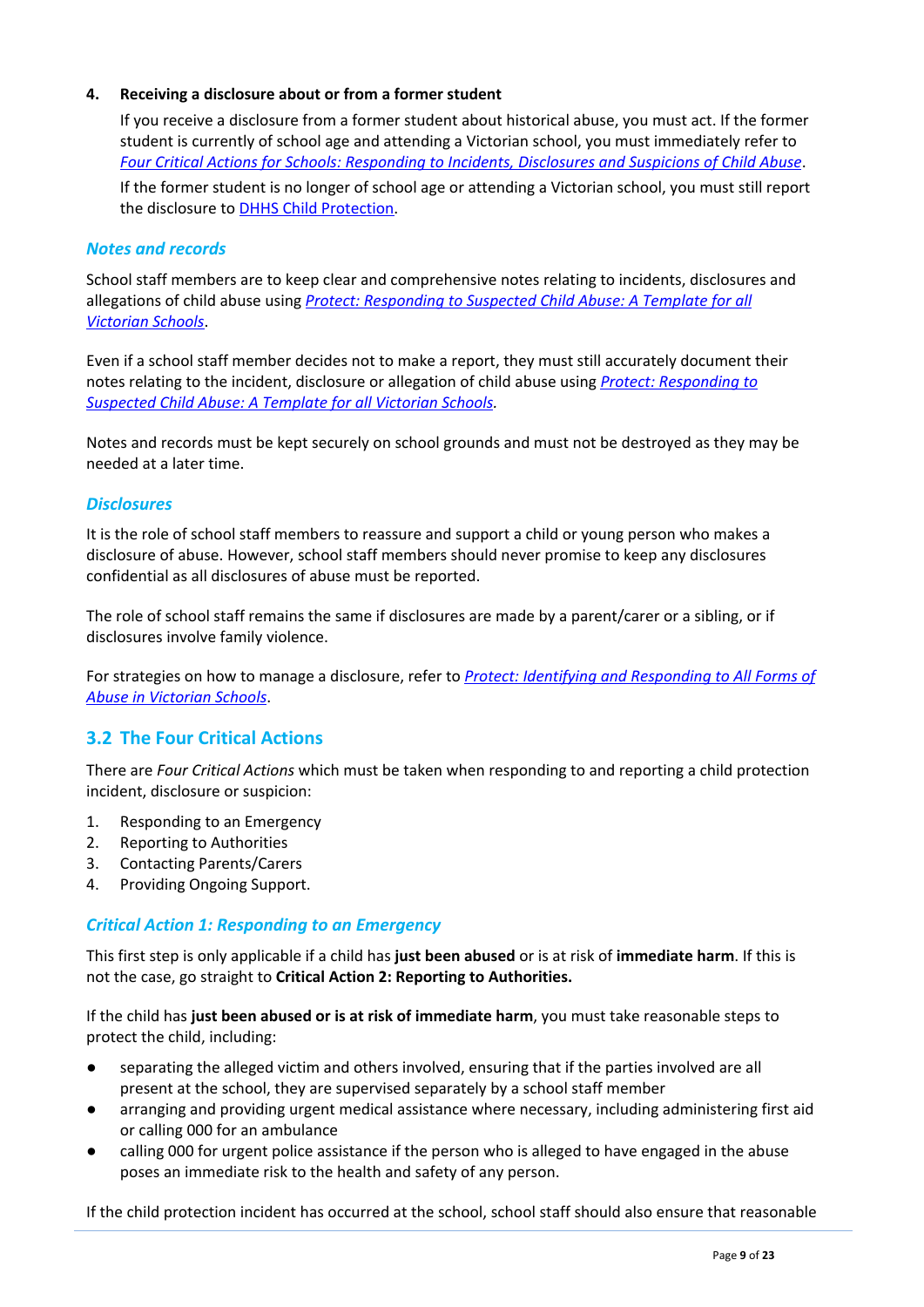#### **4. Receiving a disclosure about or from a former student**

If you receive a disclosure from a former student about historical abuse, you must act. If the former student is currently of school age and attending a Victorian school, you must immediately refer to *Four Critical Actions for Schools: [Responding](http://www.education.vic.gov.au/Documents/about/programs/health/protect/FourCriticalActions_ChildAbuse.pdf) to Incidents, Disclosures and Suspicions of Child [Abuse](http://www.education.vic.gov.au/Documents/about/programs/health/protect/FourCriticalActions_ChildAbuse.pdf)*[.](http://www.education.vic.gov.au/Documents/about/programs/health/protect/FourCriticalActions_ChildAbuse.pdf) If the former student is no longer of school age or attending a Victorian school, you must still report the disclosure to DHHS Child [Protection.](http://www.education.vic.gov.au/about/contact/Pages/reportingabuse.aspx?Redirect=1)

#### *Notes and records*

School staff members are to keep clear and comprehensive notes relating to incidents, disclosures and allegations of child abuse using *Protect: [Responding](http://www.education.vic.gov.au/Documents/about/programs/health/protect/PROTECT_Responding_TemplateSchools.pdf) to Suspected Child Abuse: A Template for all [Victorian](http://www.education.vic.gov.au/Documents/about/programs/health/protect/PROTECT_Responding_TemplateSchools.pdf) Schools*.

Even if a school staff member decides not to make a report, they must still accurately document their notes relating to the incident, disclosure or allegation of child abuse using *Protect: [Responding](http://www.education.vic.gov.au/Documents/about/programs/health/protect/PROTECT_Responding_TemplateSchools.pdf) to [Suspected](http://www.education.vic.gov.au/Documents/about/programs/health/protect/PROTECT_Responding_TemplateSchools.pdf) Child Abuse: A Template for all Victorian Schools.*

Notes and records must be kept securely on school grounds and must not be destroyed as they may be needed at a later time.

#### *Disclosures*

It is the role of school staff members to reassure and support a child or young person who makes a disclosure of abuse. However, school staff members should never promise to keep any disclosures confidential as all disclosures of abuse must be reported.

The role of school staff remains the same if disclosures are made by a parent/carer or a sibling, or if disclosures involve family violence.

For strategies on how to manage a disclosure, refer to *Protect: Identifying and [Responding](http://www.education.vic.gov.au/Documents/about/programs/health/protect/ChildSafeStandard5_SchoolsGuide.pdf) to All Forms of Abuse in [Victorian](http://www.education.vic.gov.au/Documents/about/programs/health/protect/ChildSafeStandard5_SchoolsGuide.pdf) Schools*.

### **3.2 The Four Critical Actions**

There are *Four Critical Actions* which must be taken when responding to and reporting a child protection incident, disclosure or suspicion:

- 1. Responding to an Emergency
- 2. Reporting to Authorities
- 3. Contacting Parents/Carers
- 4. Providing Ongoing Support.

#### *Critical Action 1: Responding to an Emergency*

This first step is only applicable if a child has **just been abused** or is at risk of **immediate harm**. If this is not the case, go straight to **Critical Action 2: Reporting to Authorities.**

If the child has **just been abused or is at risk of immediate harm**, you must take reasonable steps to protect the child, including:

- separating the alleged victim and others involved, ensuring that if the parties involved are all present at the school, they are supervised separately by a school staff member
- arranging and providing urgent medical assistance where necessary, including administering first aid or calling 000 for an ambulance
- calling 000 for urgent police assistance if the person who is alleged to have engaged in the abuse poses an immediate risk to the health and safety of any person.

If the child protection incident has occurred at the school, school staff should also ensure that reasonable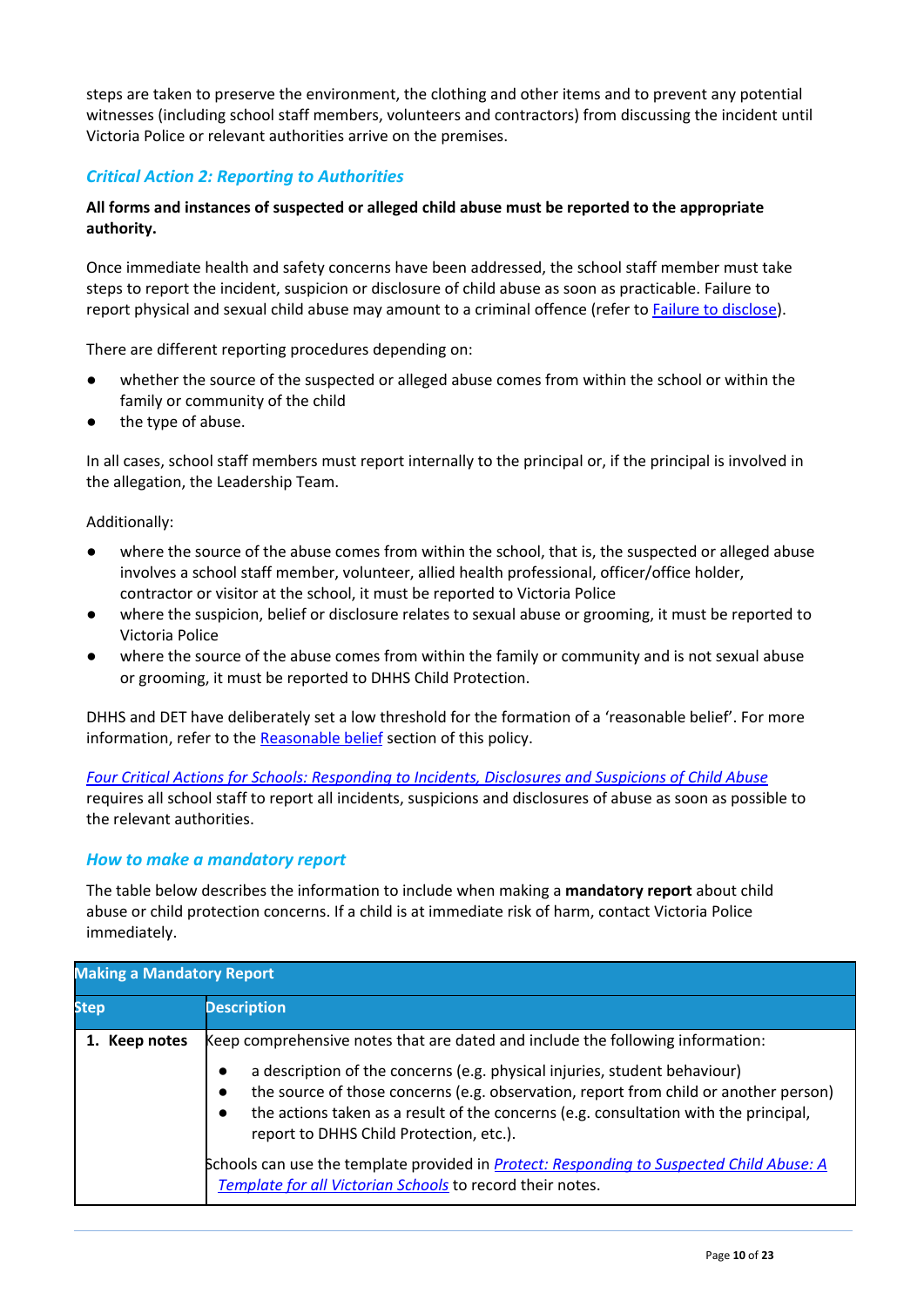steps are taken to preserve the environment, the clothing and other items and to prevent any potential witnesses (including school staff members, volunteers and contractors) from discussing the incident until Victoria Police or relevant authorities arrive on the premises.

# *Critical Action 2: Reporting to Authorities*

### **All forms and instances of suspected or alleged child abuse must be reported to the appropriate authority.**

Once immediate health and safety concerns have been addressed, the school staff member must take steps to report the incident, suspicion or disclosure of child abuse as soon as practicable. Failure to report physical and sexual child abuse may amount to a criminal offence (refer to Failure to disclose).

There are different reporting procedures depending on:

- whether the source of the suspected or alleged abuse comes from within the school or within the family or community of the child
- the type of abuse.

In all cases, school staff members must report internally to the principal or, if the principal is involved in the allegation, the Leadership Team.

#### Additionally:

- where the source of the abuse comes from within the school, that is, the suspected or alleged abuse involves a school staff member, volunteer, allied health professional, officer/office holder, contractor or visitor at the school, it must be reported to Victoria Police
- where the suspicion, belief or disclosure relates to sexual abuse or grooming, it must be reported to Victoria Police
- where the source of the abuse comes from within the family or community and is not sexual abuse or grooming, it must be reported to DHHS Child Protection.

DHHS and DET have deliberately set a low threshold for the formation of a 'reasonable belief'. For more information, refer to the Reasonable belief section of this policy.

*Four Critical Actions for Schools: [Responding](http://www.education.vic.gov.au/Documents/about/programs/health/protect/FourCriticalActions_ChildAbuse.pdf) to Incidents, Disclosures and Suspicions of Child Abuse* requires all school staff to report all incidents, suspicions and disclosures of abuse as soon as possible to the relevant authorities.

#### *How to make a mandatory report*

The table below describes the information to include when making a **mandatory report** about child abuse or child protection concerns. If a child is at immediate risk of harm, contact Victoria Police immediately.

| <b>Making a Mandatory Report</b> |                                                                                                                                                                                                                                                                                                                                             |
|----------------------------------|---------------------------------------------------------------------------------------------------------------------------------------------------------------------------------------------------------------------------------------------------------------------------------------------------------------------------------------------|
| <b>Step</b>                      | <b>Description</b>                                                                                                                                                                                                                                                                                                                          |
| 1. Keep notes                    | Keep comprehensive notes that are dated and include the following information:                                                                                                                                                                                                                                                              |
|                                  | a description of the concerns (e.g. physical injuries, student behaviour)<br>$\bullet$<br>the source of those concerns (e.g. observation, report from child or another person)<br>$\bullet$<br>the actions taken as a result of the concerns (e.g. consultation with the principal,<br>$\bullet$<br>report to DHHS Child Protection, etc.). |
|                                  | Schools can use the template provided in Protect: Responding to Suspected Child Abuse: A<br>Template for all Victorian Schools to record their notes.                                                                                                                                                                                       |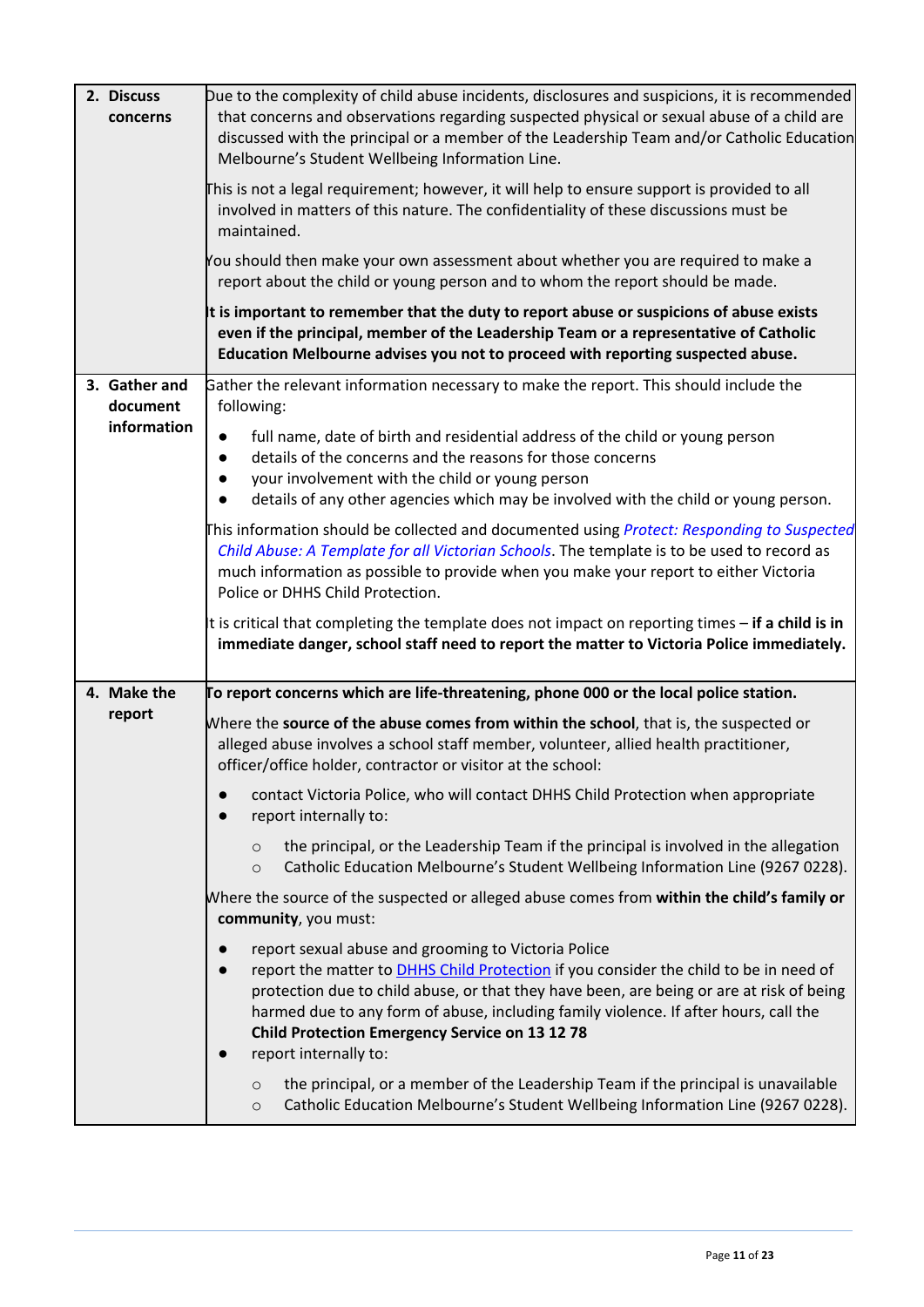| 2. Discuss<br>concerns    | Due to the complexity of child abuse incidents, disclosures and suspicions, it is recommended<br>that concerns and observations regarding suspected physical or sexual abuse of a child are<br>discussed with the principal or a member of the Leadership Team and/or Catholic Education<br>Melbourne's Student Wellbeing Information Line.                                                                               |
|---------------------------|---------------------------------------------------------------------------------------------------------------------------------------------------------------------------------------------------------------------------------------------------------------------------------------------------------------------------------------------------------------------------------------------------------------------------|
|                           | This is not a legal requirement; however, it will help to ensure support is provided to all<br>involved in matters of this nature. The confidentiality of these discussions must be<br>maintained.                                                                                                                                                                                                                        |
|                           | You should then make your own assessment about whether you are required to make a<br>report about the child or young person and to whom the report should be made.                                                                                                                                                                                                                                                        |
|                           | It is important to remember that the duty to report abuse or suspicions of abuse exists<br>even if the principal, member of the Leadership Team or a representative of Catholic<br>Education Melbourne advises you not to proceed with reporting suspected abuse.                                                                                                                                                         |
| 3. Gather and<br>document | Gather the relevant information necessary to make the report. This should include the<br>following:                                                                                                                                                                                                                                                                                                                       |
| information               | full name, date of birth and residential address of the child or young person<br>details of the concerns and the reasons for those concerns<br>$\bullet$<br>your involvement with the child or young person<br>$\bullet$<br>details of any other agencies which may be involved with the child or young person.                                                                                                           |
|                           | This information should be collected and documented using Protect: Responding to Suspected<br>Child Abuse: A Template for all Victorian Schools. The template is to be used to record as<br>much information as possible to provide when you make your report to either Victoria<br>Police or DHHS Child Protection.                                                                                                      |
|                           | t is critical that completing the template does not impact on reporting times - if a child is in<br>immediate danger, school staff need to report the matter to Victoria Police immediately.                                                                                                                                                                                                                              |
| 4. Make the               | To report concerns which are life-threatening, phone 000 or the local police station.                                                                                                                                                                                                                                                                                                                                     |
| report                    | Where the source of the abuse comes from within the school, that is, the suspected or<br>alleged abuse involves a school staff member, volunteer, allied health practitioner,<br>officer/office holder, contractor or visitor at the school:                                                                                                                                                                              |
|                           | contact Victoria Police, who will contact DHHS Child Protection when appropriate<br>report internally to:                                                                                                                                                                                                                                                                                                                 |
|                           | the principal, or the Leadership Team if the principal is involved in the allegation<br>$\circ$<br>Catholic Education Melbourne's Student Wellbeing Information Line (9267 0228).<br>$\circ$                                                                                                                                                                                                                              |
|                           | Where the source of the suspected or alleged abuse comes from within the child's family or<br>community, you must:                                                                                                                                                                                                                                                                                                        |
|                           | report sexual abuse and grooming to Victoria Police<br>report the matter to <b>DHHS Child Protection</b> if you consider the child to be in need of<br>protection due to child abuse, or that they have been, are being or are at risk of being<br>harmed due to any form of abuse, including family violence. If after hours, call the<br><b>Child Protection Emergency Service on 13 12 78</b><br>report internally to: |
|                           | the principal, or a member of the Leadership Team if the principal is unavailable<br>$\circ$<br>Catholic Education Melbourne's Student Wellbeing Information Line (9267 0228).<br>$\circ$                                                                                                                                                                                                                                 |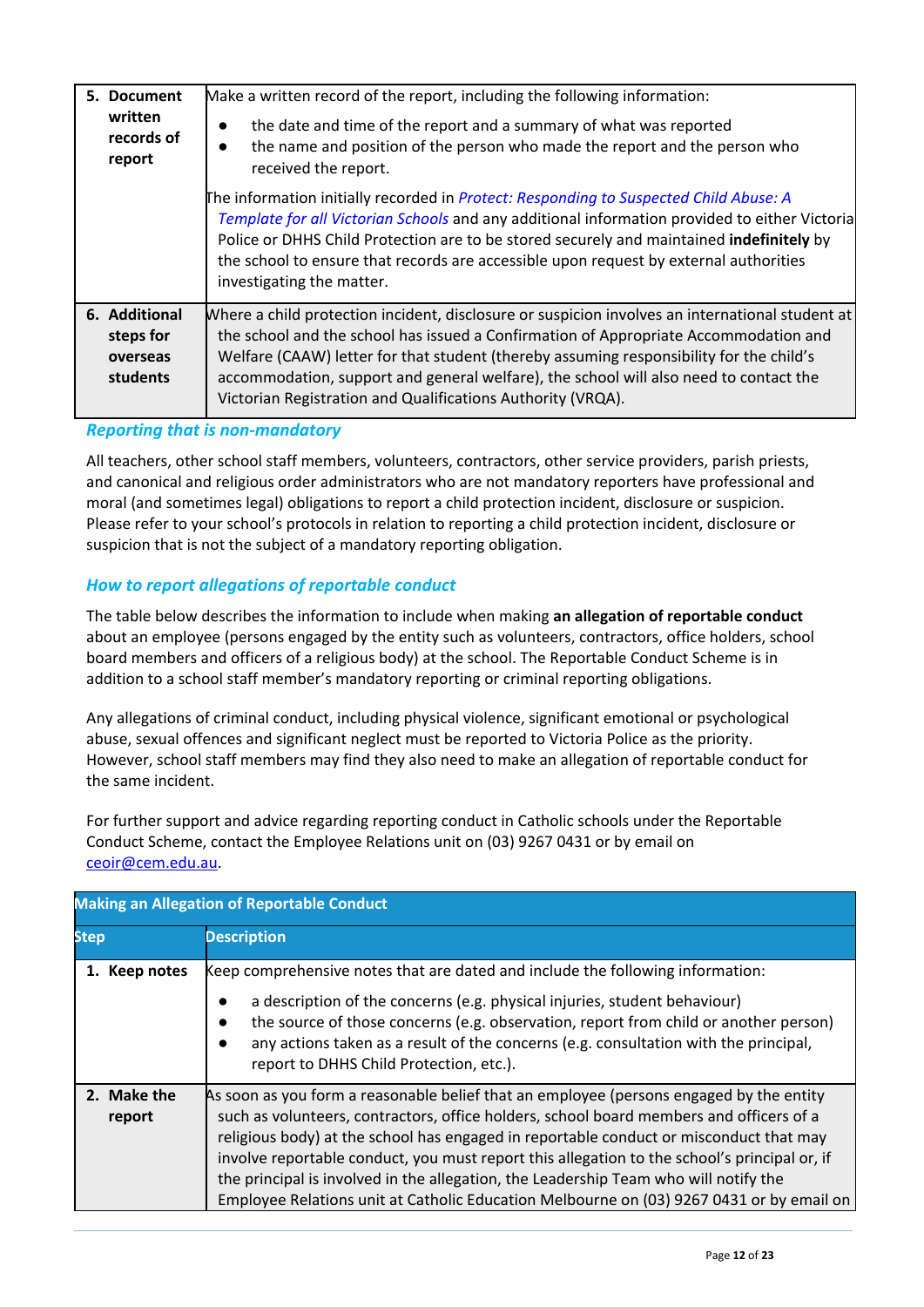| 5. Document<br>written<br>records of<br>report     | Make a written record of the report, including the following information:<br>the date and time of the report and a summary of what was reported<br>the name and position of the person who made the report and the person who<br>$\bullet$<br>received the report.                                                                                                                                                                         |
|----------------------------------------------------|--------------------------------------------------------------------------------------------------------------------------------------------------------------------------------------------------------------------------------------------------------------------------------------------------------------------------------------------------------------------------------------------------------------------------------------------|
|                                                    | The information initially recorded in Protect: Responding to Suspected Child Abuse: A<br>Template for all Victorian Schools and any additional information provided to either Victoria<br>Police or DHHS Child Protection are to be stored securely and maintained indefinitely by<br>the school to ensure that records are accessible upon request by external authorities<br>investigating the matter.                                   |
| 6. Additional<br>steps for<br>overseas<br>students | Where a child protection incident, disclosure or suspicion involves an international student at<br>the school and the school has issued a Confirmation of Appropriate Accommodation and<br>Welfare (CAAW) letter for that student (thereby assuming responsibility for the child's<br>accommodation, support and general welfare), the school will also need to contact the<br>Victorian Registration and Qualifications Authority (VRQA). |

### *Reporting that is non-mandatory*

All teachers, other school staff members, volunteers, contractors, other service providers, parish priests, and canonical and religious order administrators who are not mandatory reporters have professional and moral (and sometimes legal) obligations to report a child protection incident, disclosure or suspicion. Please refer to your school's protocols in relation to reporting a child protection incident, disclosure or suspicion that is not the subject of a mandatory reporting obligation.

#### *How to report allegations of reportable conduct*

The table below describes the information to include when making **an allegation of reportable conduct** about an employee (persons engaged by the entity such as volunteers, contractors, office holders, school board members and officers of a religious body) at the school. The Reportable Conduct Scheme is in addition to a school staff member's mandatory reporting or criminal reporting obligations.

Any allegations of criminal conduct, including physical violence, significant emotional or psychological abuse, sexual offences and significant neglect must be reported to Victoria Police as the priority. However, school staff members may find they also need to make an allegation of reportable conduct for the same incident.

For further support and advice regarding reporting conduct in Catholic schools under the Reportable Conduct Scheme, contact the Employee Relations unit on (03) 9267 0431 or by email on [ceoir@cem.edu.au](mailto:ceoir@cem.edu.au).

| <b>Making an Allegation of Reportable Conduct</b> |                                                                                                                                                                                                                                                                                                                                                                                                                                                                                                                                                                  |
|---------------------------------------------------|------------------------------------------------------------------------------------------------------------------------------------------------------------------------------------------------------------------------------------------------------------------------------------------------------------------------------------------------------------------------------------------------------------------------------------------------------------------------------------------------------------------------------------------------------------------|
| <b>Step</b>                                       | <b>Description</b>                                                                                                                                                                                                                                                                                                                                                                                                                                                                                                                                               |
| Keep notes                                        | Keep comprehensive notes that are dated and include the following information:<br>a description of the concerns (e.g. physical injuries, student behaviour)<br>the source of those concerns (e.g. observation, report from child or another person)<br>any actions taken as a result of the concerns (e.g. consultation with the principal,<br>report to DHHS Child Protection, etc.).                                                                                                                                                                           |
| 2. Make the<br>report                             | As soon as you form a reasonable belief that an employee (persons engaged by the entity<br>such as volunteers, contractors, office holders, school board members and officers of a<br>religious body) at the school has engaged in reportable conduct or misconduct that may<br>involve reportable conduct, you must report this allegation to the school's principal or, if<br>the principal is involved in the allegation, the Leadership Team who will notify the<br>Employee Relations unit at Catholic Education Melbourne on (03) 9267 0431 or by email on |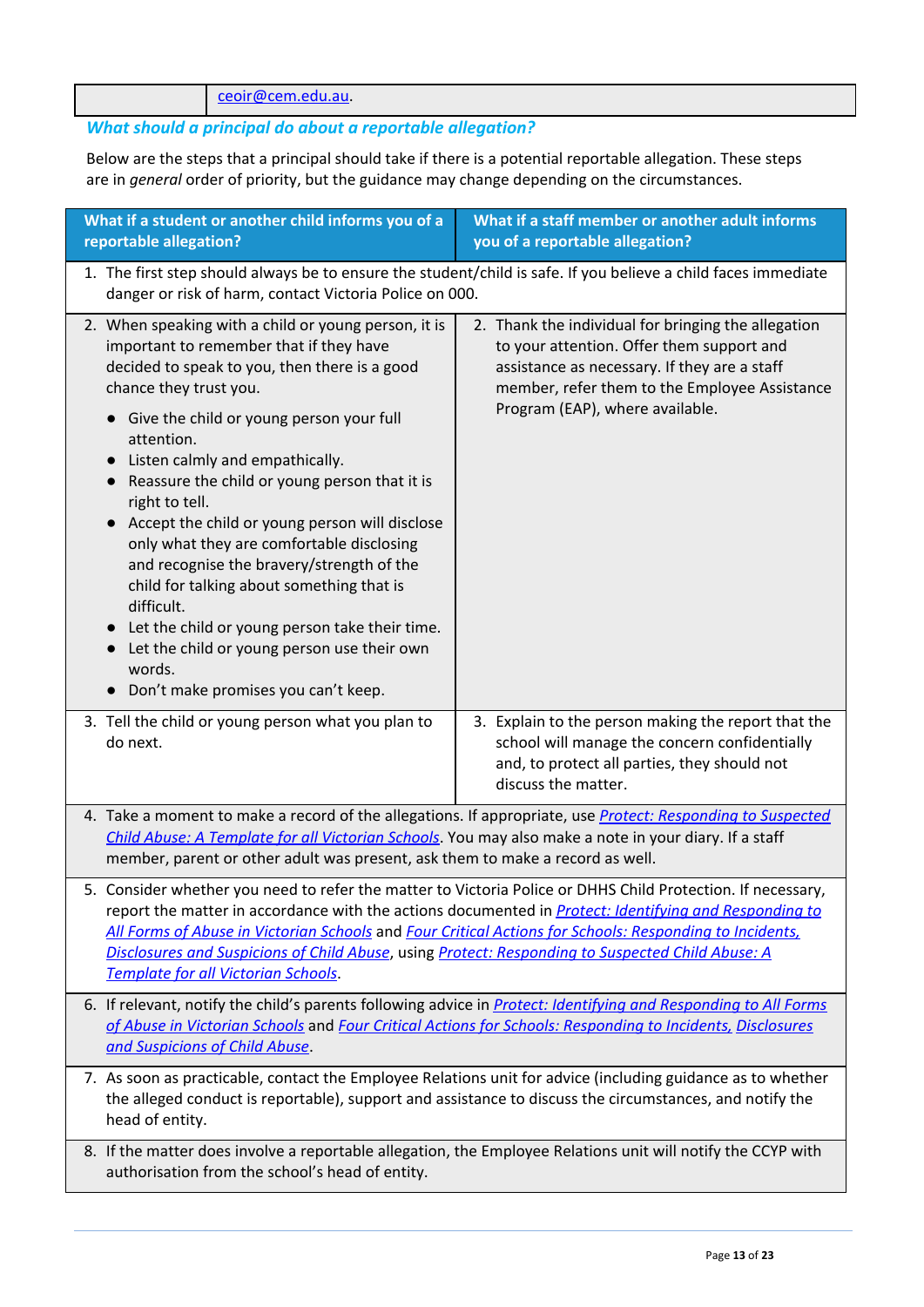#### [ceoir@cem.edu.au](mailto:ceoir@cem.edu.au).

# *What should a principal do about a reportable allegation?*

Below are the steps that a principal should take if there is a potential reportable allegation. These steps are in *general* order of priority, but the guidance may change depending on the circumstances.

| What if a student or another child informs you of a<br>reportable allegation?                                                                                                                                                                                                                                                                                                                                                                                                                                                                                                                                                                                                                       | What if a staff member or another adult informs<br>you of a reportable allegation?                                                                                                                                                   |
|-----------------------------------------------------------------------------------------------------------------------------------------------------------------------------------------------------------------------------------------------------------------------------------------------------------------------------------------------------------------------------------------------------------------------------------------------------------------------------------------------------------------------------------------------------------------------------------------------------------------------------------------------------------------------------------------------------|--------------------------------------------------------------------------------------------------------------------------------------------------------------------------------------------------------------------------------------|
| danger or risk of harm, contact Victoria Police on 000.                                                                                                                                                                                                                                                                                                                                                                                                                                                                                                                                                                                                                                             | 1. The first step should always be to ensure the student/child is safe. If you believe a child faces immediate                                                                                                                       |
| 2. When speaking with a child or young person, it is<br>important to remember that if they have<br>decided to speak to you, then there is a good<br>chance they trust you.<br>Give the child or young person your full<br>attention.<br>Listen calmly and empathically.<br>Reassure the child or young person that it is<br>right to tell.<br>Accept the child or young person will disclose<br>only what they are comfortable disclosing<br>and recognise the bravery/strength of the<br>child for talking about something that is<br>difficult.<br>Let the child or young person take their time.<br>Let the child or young person use their own<br>words.<br>Don't make promises you can't keep. | 2. Thank the individual for bringing the allegation<br>to your attention. Offer them support and<br>assistance as necessary. If they are a staff<br>member, refer them to the Employee Assistance<br>Program (EAP), where available. |
| 3. Tell the child or young person what you plan to<br>do next.                                                                                                                                                                                                                                                                                                                                                                                                                                                                                                                                                                                                                                      | 3. Explain to the person making the report that the<br>school will manage the concern confidentially<br>and, to protect all parties, they should not<br>discuss the matter.                                                          |
| Child Abuse: A Template for all Victorian Schools. You may also make a note in your diary. If a staff<br>member, parent or other adult was present, ask them to make a record as well.                                                                                                                                                                                                                                                                                                                                                                                                                                                                                                              | 4. Take a moment to make a record of the allegations. If appropriate, use Protect: Responding to Suspected                                                                                                                           |
| 5. Consider whether you need to refer the matter to Victoria Police or DHHS Child Protection. If necessary,<br>All Forms of Abuse in Victorian Schools and Four Critical Actions for Schools: Responding to Incidents,<br><b>Disclosures and Suspicions of Child Abuse, using Protect: Responding to Suspected Child Abuse: A</b><br><b>Template for all Victorian Schools.</b>                                                                                                                                                                                                                                                                                                                     | report the matter in accordance with the actions documented in Protect: Identifying and Responding to                                                                                                                                |
| and Suspicions of Child Abuse.                                                                                                                                                                                                                                                                                                                                                                                                                                                                                                                                                                                                                                                                      | 6. If relevant, notify the child's parents following advice in Protect: Identifying and Responding to All Forms<br>of Abuse in Victorian Schools and Four Critical Actions for Schools: Responding to Incidents, Disclosures         |
| head of entity.                                                                                                                                                                                                                                                                                                                                                                                                                                                                                                                                                                                                                                                                                     | 7. As soon as practicable, contact the Employee Relations unit for advice (including guidance as to whether<br>the alleged conduct is reportable), support and assistance to discuss the circumstances, and notify the               |
| 8. If the matter does involve a reportable allegation, the Employee Relations unit will notify the CCYP with<br>authorisation from the school's head of entity.                                                                                                                                                                                                                                                                                                                                                                                                                                                                                                                                     |                                                                                                                                                                                                                                      |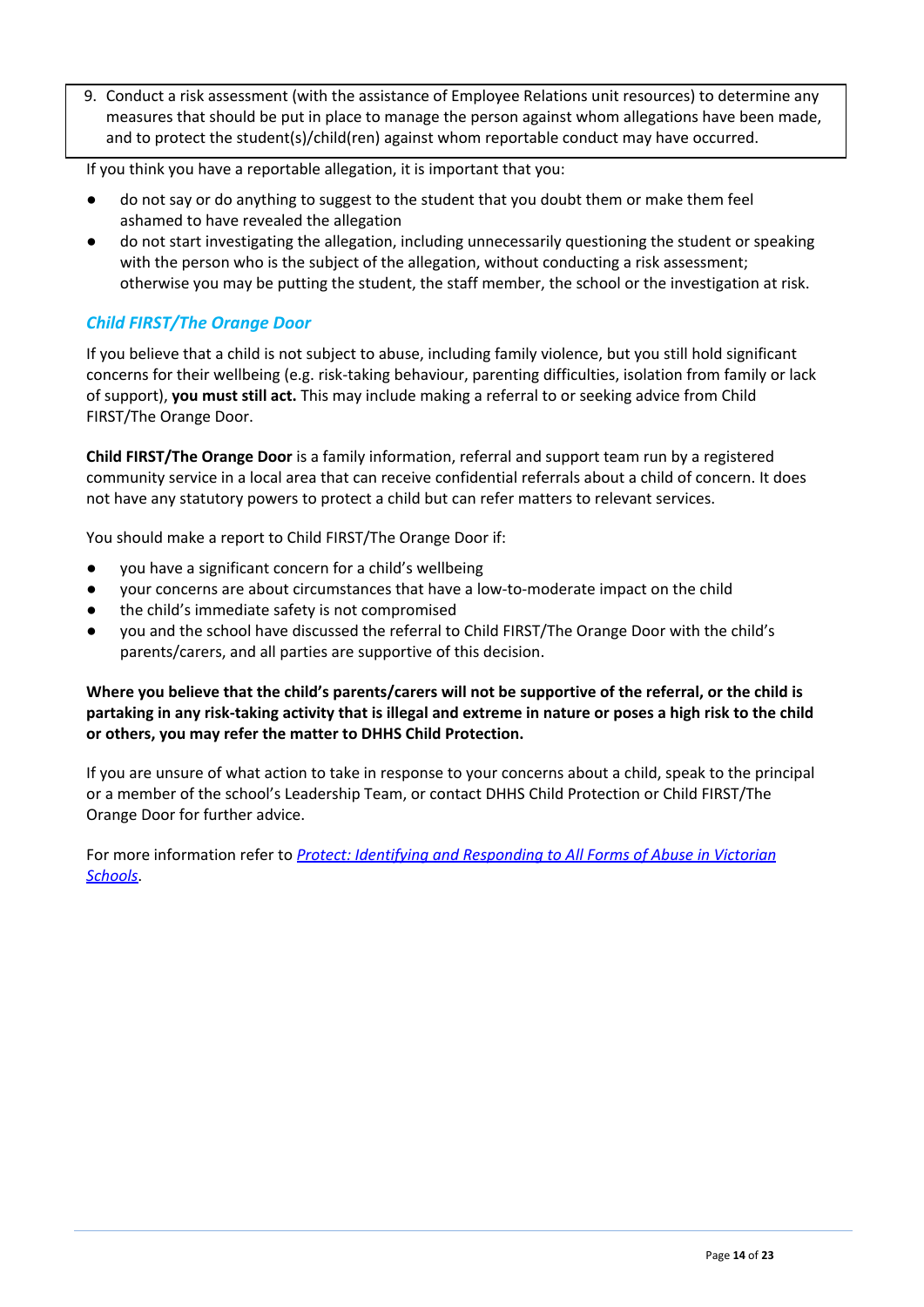9. Conduct a risk assessment (with the assistance of Employee Relations unit resources) to determine any measures that should be put in place to manage the person against whom allegations have been made, and to protect the student(s)/child(ren) against whom reportable conduct may have occurred.

If you think you have a reportable allegation, it is important that you:

- do not say or do anything to suggest to the student that you doubt them or make them feel ashamed to have revealed the allegation
- do not start investigating the allegation, including unnecessarily questioning the student or speaking with the person who is the subject of the allegation, without conducting a risk assessment; otherwise you may be putting the student, the staff member, the school or the investigation at risk.

# *Child FIRST/The Orange Door*

If you believe that a child is not subject to abuse, including family violence, but you still hold significant concerns for their wellbeing (e.g. risk-taking behaviour, parenting difficulties, isolation from family or lack of support), **you must still act.** This may include making a referral to or seeking advice from Child FIRST/The Orange Door.

**Child FIRST/The Orange Door** is a family information, referral and support team run by a registered community service in a local area that can receive confidential referrals about a child of concern. It does not have any statutory powers to protect a child but can refer matters to relevant services.

You should make a report to Child FIRST/The Orange Door if:

- you have a significant concern for a child's wellbeing
- your concerns are about circumstances that have a low-to-moderate impact on the child
- the child's immediate safety is not compromised
- you and the school have discussed the referral to Child FIRST/The Orange Door with the child's parents/carers, and all parties are supportive of this decision.

Where you believe that the child's parents/carers will not be supportive of the referral, or the child is partaking in any risk-taking activity that is illegal and extreme in nature or poses a high risk to the child **or others, you may refer the matter to DHHS Child Protection.**

If you are unsure of what action to take in response to your concerns about a child, speak to the principal or a member of the school's Leadership Team, or contact DHHS Child Protection or Child FIRST/The Orange Door for further advice.

For more information refer to *Protect: Identifying and [Responding](http://www.education.vic.gov.au/Documents/about/programs/health/protect/ChildSafeStandard5_SchoolsGuide.pdf) to All Forms of Abuse in Victorian [Schools](http://www.education.vic.gov.au/Documents/about/programs/health/protect/ChildSafeStandard5_SchoolsGuide.pdf)*.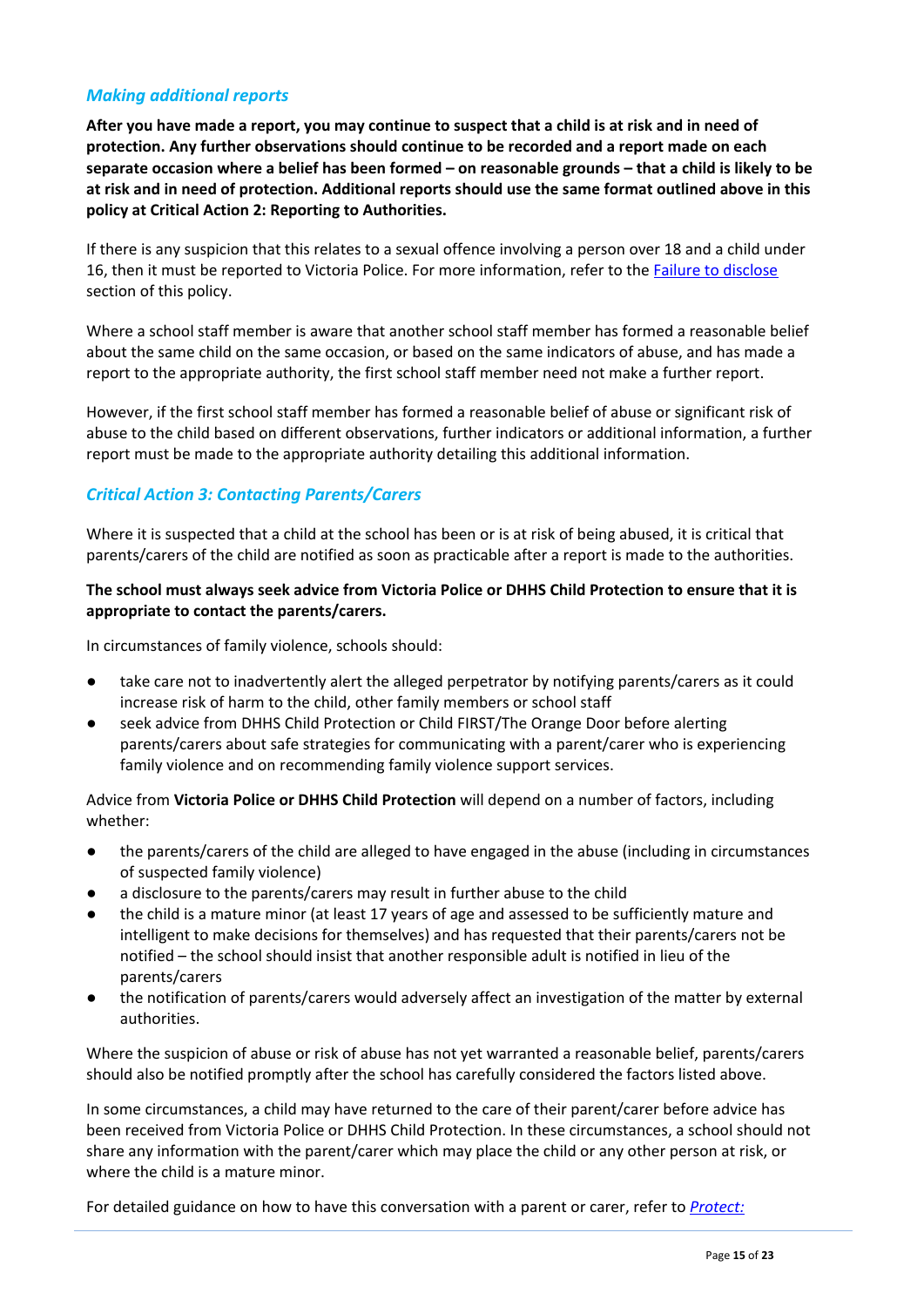## *Making additional reports*

After you have made a report, you may continue to suspect that a child is at risk and in need of **protection. Any further observations should continue to be recorded and a report made on each** separate occasion where a belief has been formed - on reasonable grounds - that a child is likely to be at risk and in need of protection. Additional reports should use the same format outlined above in this **policy at Critical Action 2: Reporting to Authorities.**

If there is any suspicion that this relates to a sexual offence involving a person over 18 and a child under 16, then it must be reported to Victoria Police. For more information, refer to the Failure to disclose section of this policy.

Where a school staff member is aware that another school staff member has formed a reasonable belief about the same child on the same occasion, or based on the same indicators of abuse, and has made a report to the appropriate authority, the first school staff member need not make a further report.

However, if the first school staff member has formed a reasonable belief of abuse or significant risk of abuse to the child based on different observations, further indicators or additional information, a further report must be made to the appropriate authority detailing this additional information.

### *Critical Action 3: Contacting Parents/Carers*

Where it is suspected that a child at the school has been or is at risk of being abused, it is critical that parents/carers of the child are notified as soon as practicable after a report is made to the authorities.

#### The school must always seek advice from Victoria Police or DHHS Child Protection to ensure that it is **appropriate to contact the parents/carers.**

In circumstances of family violence, schools should:

- take care not to inadvertently alert the alleged perpetrator by notifying parents/carers as it could increase risk of harm to the child, other family members or school staff
- seek advice from DHHS Child Protection or Child FIRST/The Orange Door before alerting parents/carers about safe strategies for communicating with a parent/carer who is experiencing family violence and on recommending family violence support services.

Advice from **Victoria Police or DHHS Child Protection** will depend on a number of factors, including whether:

- the parents/carers of the child are alleged to have engaged in the abuse (including in circumstances of suspected family violence)
- a disclosure to the parents/carers may result in further abuse to the child
- the child is a mature minor (at least 17 years of age and assessed to be sufficiently mature and intelligent to make decisions for themselves) and has requested that their parents/carers not be notified – the school should insist that another responsible adult is notified in lieu of the parents/carers
- the notification of parents/carers would adversely affect an investigation of the matter by external authorities.

Where the suspicion of abuse or risk of abuse has not yet warranted a reasonable belief, parents/carers should also be notified promptly after the school has carefully considered the factors listed above.

In some circumstances, a child may have returned to the care of their parent/carer before advice has been received from Victoria Police or DHHS Child Protection. In these circumstances, a school should not share any information with the parent/carer which may place the child or any other person at risk, or where the child is a mature minor.

For detailed guidance on how to have this conversation with a parent or carer, refer to *[Protect:](http://www.education.vic.gov.au/Documents/about/programs/health/protect/ChildSafeStandard5_SchoolsGuide.pdf)*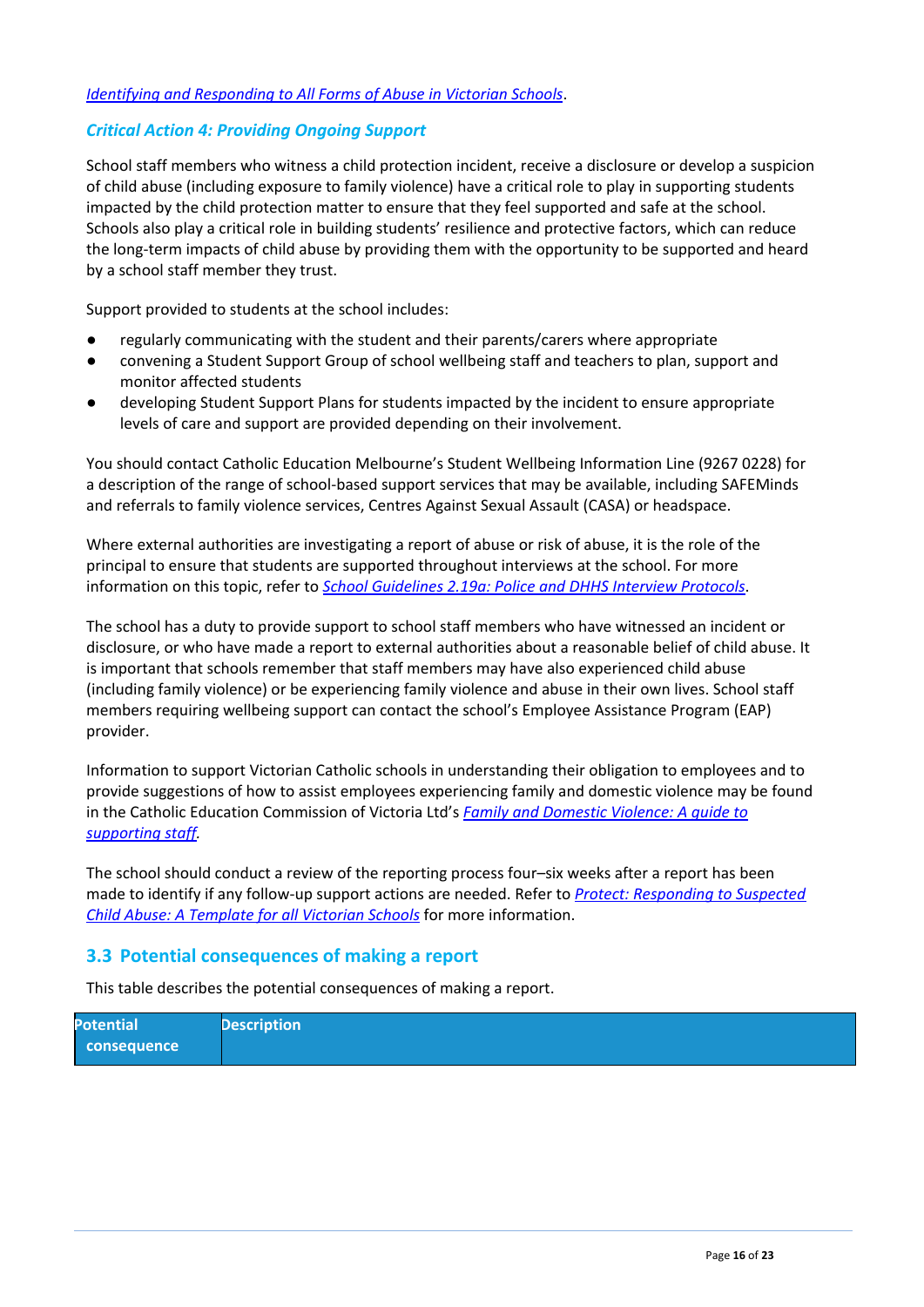#### *Identifying and [Responding](http://www.education.vic.gov.au/Documents/about/programs/health/protect/ChildSafeStandard5_SchoolsGuide.pdf) to All Forms of Abuse in Victorian Schools*.

### *Critical Action 4: Providing Ongoing Support*

School staff members who witness a child protection incident, receive a disclosure or develop a suspicion of child abuse (including exposure to family violence) have a critical role to play in supporting students impacted by the child protection matter to ensure that they feel supported and safe at the school. Schools also play a critical role in building students' resilience and protective factors, which can reduce the long-term impacts of child abuse by providing them with the opportunity to be supported and heard by a school staff member they trust.

Support provided to students at the school includes:

- regularly communicating with the student and their parents/carers where appropriate
- convening a Student Support Group of school wellbeing staff and teachers to plan, support and monitor affected students
- developing Student Support Plans for students impacted by the incident to ensure appropriate levels of care and support are provided depending on their involvement.

You should contact Catholic Education Melbourne's Student Wellbeing Information Line (9267 0228) for a description of the range of school-based support services that may be available, including SAFEMinds and referrals to family violence services, Centres Against Sexual Assault (CASA) or headspace.

Where external authorities are investigating a report of abuse or risk of abuse, it is the role of the principal to ensure that students are supported throughout interviews at the school. For more information on this topic, refer to *School [Guidelines](https://www.cem.edu.au/About-Us/Policies/Police-and-DHHS-Interview-Protocols.aspx) 2.19a: Police and DHHS Interview Protocols*[.](https://www.cem.edu.au/About-Us/Policies/Police-and-DHHS-Interview-Protocols.aspx)

The school has a duty to provide support to school staff members who have witnessed an incident or disclosure, or who have made a report to external authorities about a reasonable belief of child abuse. It is important that schools remember that staff members may have also experienced child abuse (including family violence) or be experiencing family violence and abuse in their own lives. School staff members requiring wellbeing support can contact the school's Employee Assistance Program (EAP) provider.

Information to support Victorian Catholic schools in understanding their obligation to employees and to provide suggestions of how to assist employees experiencing family and domestic violence may be found in the Catholic Education Commission of Victoria Ltd's *Family and [Domestic](http://www.cecv.catholic.edu.au/Media-Files/IR/Policies-Guidelines/Guide-to-family-and-domestic-violence.aspx) Violence: A guide to [supporting](http://www.cecv.catholic.edu.au/Media-Files/IR/Policies-Guidelines/Guide-to-family-and-domestic-violence.aspx) staff[.](http://www.cecv.catholic.edu.au/Media-Files/IR/Policies-Guidelines/Guide-to-family-and-domestic-violence.aspx)*

The school should conduct a review of the reporting process four–six weeks after a report has been made to identify if any follow-up support actions are needed. Refer to *Protect: [Responding](http://www.education.vic.gov.au/Documents/about/programs/health/protect/PROTECT_Responding_TemplateSchools.pdf) to Suspected Child Abuse: A [Template](http://www.education.vic.gov.au/Documents/about/programs/health/protect/PROTECT_Responding_TemplateSchools.pdf) for all Victorian Schools* for more information.

### **3.3 Potential consequences of making a report**

This table describes the potential consequences of making a report.

| <b>Potential</b>   | <b>Description</b> |
|--------------------|--------------------|
| <b>consequence</b> |                    |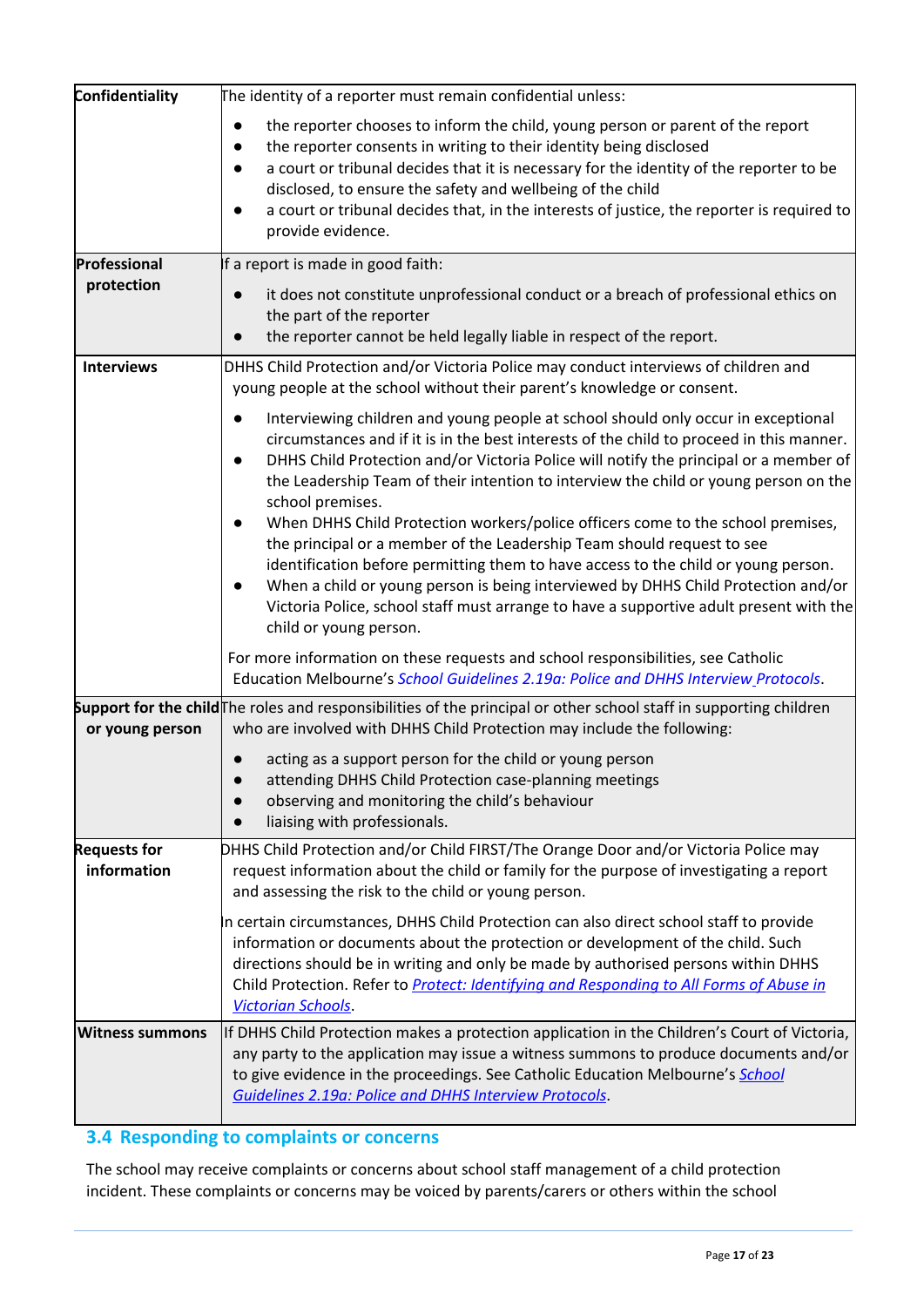| Confidentiality                    | The identity of a reporter must remain confidential unless:                                                                                                                                                                                                                                                                                                                                                                                                                                                                                                                                                                                                                                                                                                                                                                                                 |
|------------------------------------|-------------------------------------------------------------------------------------------------------------------------------------------------------------------------------------------------------------------------------------------------------------------------------------------------------------------------------------------------------------------------------------------------------------------------------------------------------------------------------------------------------------------------------------------------------------------------------------------------------------------------------------------------------------------------------------------------------------------------------------------------------------------------------------------------------------------------------------------------------------|
|                                    | the reporter chooses to inform the child, young person or parent of the report<br>the reporter consents in writing to their identity being disclosed<br>a court or tribunal decides that it is necessary for the identity of the reporter to be<br>disclosed, to ensure the safety and wellbeing of the child<br>a court or tribunal decides that, in the interests of justice, the reporter is required to<br>provide evidence.                                                                                                                                                                                                                                                                                                                                                                                                                            |
| <b>Professional</b>                | If a report is made in good faith:                                                                                                                                                                                                                                                                                                                                                                                                                                                                                                                                                                                                                                                                                                                                                                                                                          |
| protection                         | it does not constitute unprofessional conduct or a breach of professional ethics on<br>the part of the reporter<br>the reporter cannot be held legally liable in respect of the report.                                                                                                                                                                                                                                                                                                                                                                                                                                                                                                                                                                                                                                                                     |
| <b>Interviews</b>                  | DHHS Child Protection and/or Victoria Police may conduct interviews of children and<br>young people at the school without their parent's knowledge or consent.                                                                                                                                                                                                                                                                                                                                                                                                                                                                                                                                                                                                                                                                                              |
|                                    | Interviewing children and young people at school should only occur in exceptional<br>circumstances and if it is in the best interests of the child to proceed in this manner.<br>DHHS Child Protection and/or Victoria Police will notify the principal or a member of<br>$\bullet$<br>the Leadership Team of their intention to interview the child or young person on the<br>school premises.<br>When DHHS Child Protection workers/police officers come to the school premises,<br>the principal or a member of the Leadership Team should request to see<br>identification before permitting them to have access to the child or young person.<br>When a child or young person is being interviewed by DHHS Child Protection and/or<br>Victoria Police, school staff must arrange to have a supportive adult present with the<br>child or young person. |
|                                    | For more information on these requests and school responsibilities, see Catholic<br>Education Melbourne's School Guidelines 2.19a: Police and DHHS Interview Protocols.                                                                                                                                                                                                                                                                                                                                                                                                                                                                                                                                                                                                                                                                                     |
| or young person                    | Support for the child The roles and responsibilities of the principal or other school staff in supporting children<br>who are involved with DHHS Child Protection may include the following:                                                                                                                                                                                                                                                                                                                                                                                                                                                                                                                                                                                                                                                                |
|                                    | acting as a support person for the child or young person<br>attending DHHS Child Protection case-planning meetings<br>observing and monitoring the child's behaviour<br>liaising with professionals.                                                                                                                                                                                                                                                                                                                                                                                                                                                                                                                                                                                                                                                        |
| <b>Requests for</b><br>information | DHHS Child Protection and/or Child FIRST/The Orange Door and/or Victoria Police may<br>request information about the child or family for the purpose of investigating a report<br>and assessing the risk to the child or young person.                                                                                                                                                                                                                                                                                                                                                                                                                                                                                                                                                                                                                      |
|                                    | n certain circumstances, DHHS Child Protection can also direct school staff to provide<br>information or documents about the protection or development of the child. Such<br>directions should be in writing and only be made by authorised persons within DHHS<br>Child Protection. Refer to Protect: Identifying and Responding to All Forms of Abuse in<br><b>Victorian Schools.</b>                                                                                                                                                                                                                                                                                                                                                                                                                                                                     |
| <b>Witness summons</b>             | If DHHS Child Protection makes a protection application in the Children's Court of Victoria,<br>any party to the application may issue a witness summons to produce documents and/or<br>to give evidence in the proceedings. See Catholic Education Melbourne's School<br><b>Guidelines 2.19a: Police and DHHS Interview Protocols.</b>                                                                                                                                                                                                                                                                                                                                                                                                                                                                                                                     |

# **3.4 Responding to complaints or concerns**

The school may receive complaints or concerns about school staff management of a child protection incident. These complaints or concerns may be voiced by parents/carers or others within the school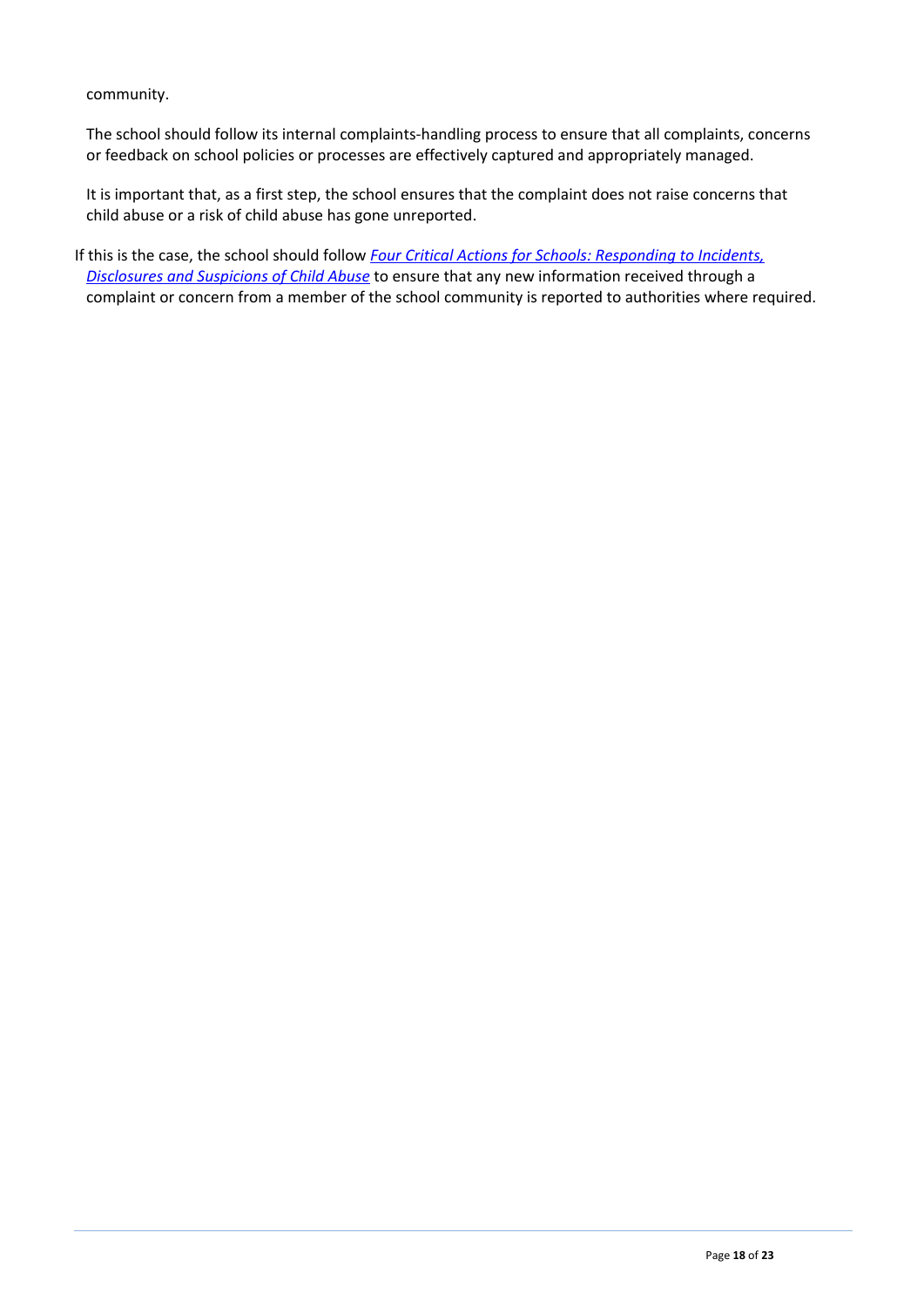community.

The school should follow its internal complaints-handling process to ensure that all complaints, concerns or feedback on school policies or processes are effectively captured and appropriately managed.

It is important that, as a first step, the school ensures that the complaint does not raise concerns that child abuse or a risk of child abuse has gone unreported.

If this is the case, the school should follow *Four Critical Actions for Schools: [Responding](http://www.education.vic.gov.au/Documents/about/programs/health/protect/FourCriticalActions_ChildAbuse.pdf) to Incidents, [Disclosures](http://www.education.vic.gov.au/Documents/about/programs/health/protect/FourCriticalActions_ChildAbuse.pdf) and Suspicions of Child Abuse* to ensure that any new information received through a complaint or concern from a member of the school community is reported to authorities where required.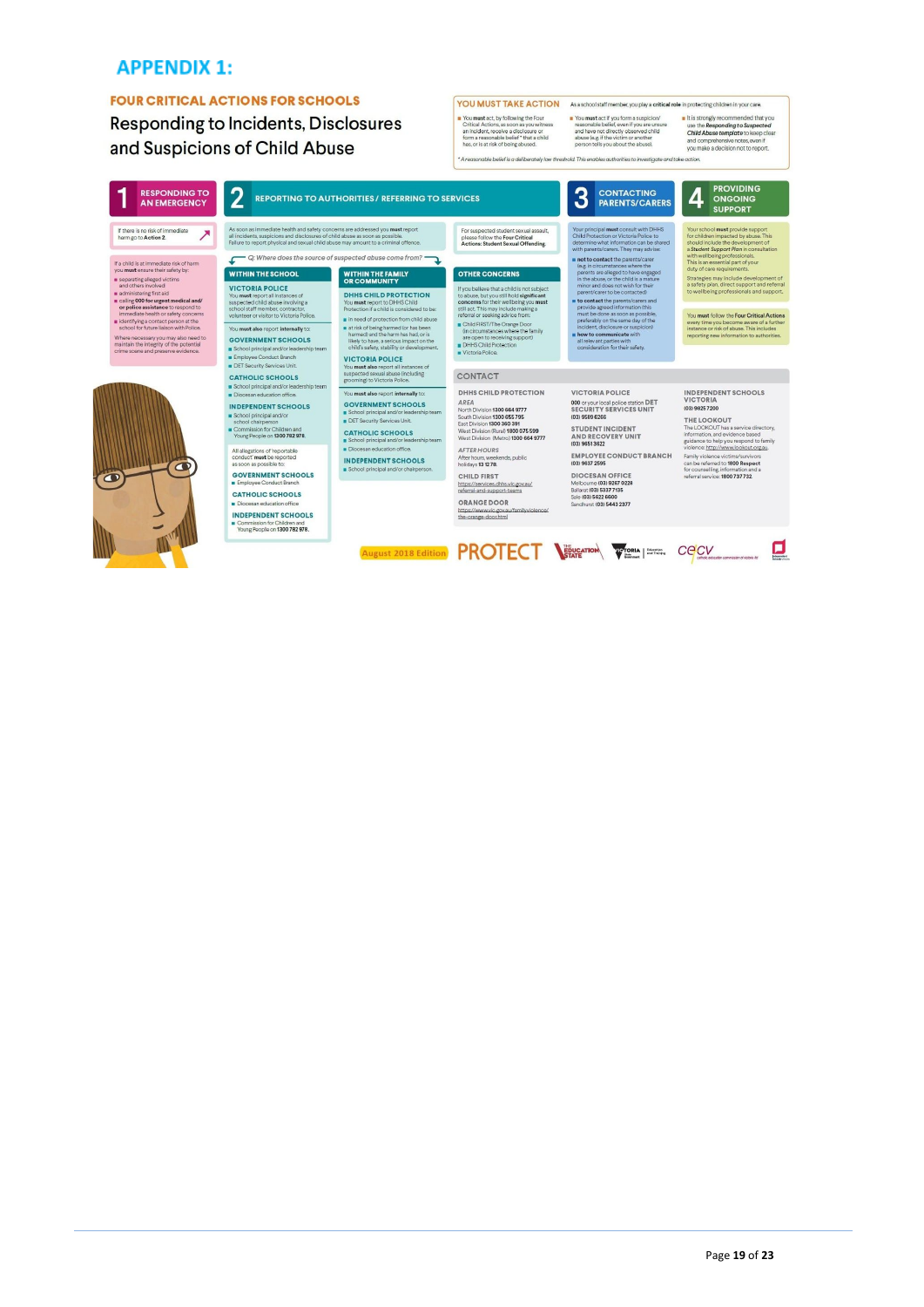# **APPENDIX 1:**

#### **FOUR CRITICAL ACTIONS FOR SCHOOLS**

**Responding to Incidents, Disclosures** and Suspicions of Child Abuse



YOU MUST TAKE ACTION As a school staff member, you play a critical role in protecting children in your care

 $\frac{1}{2}$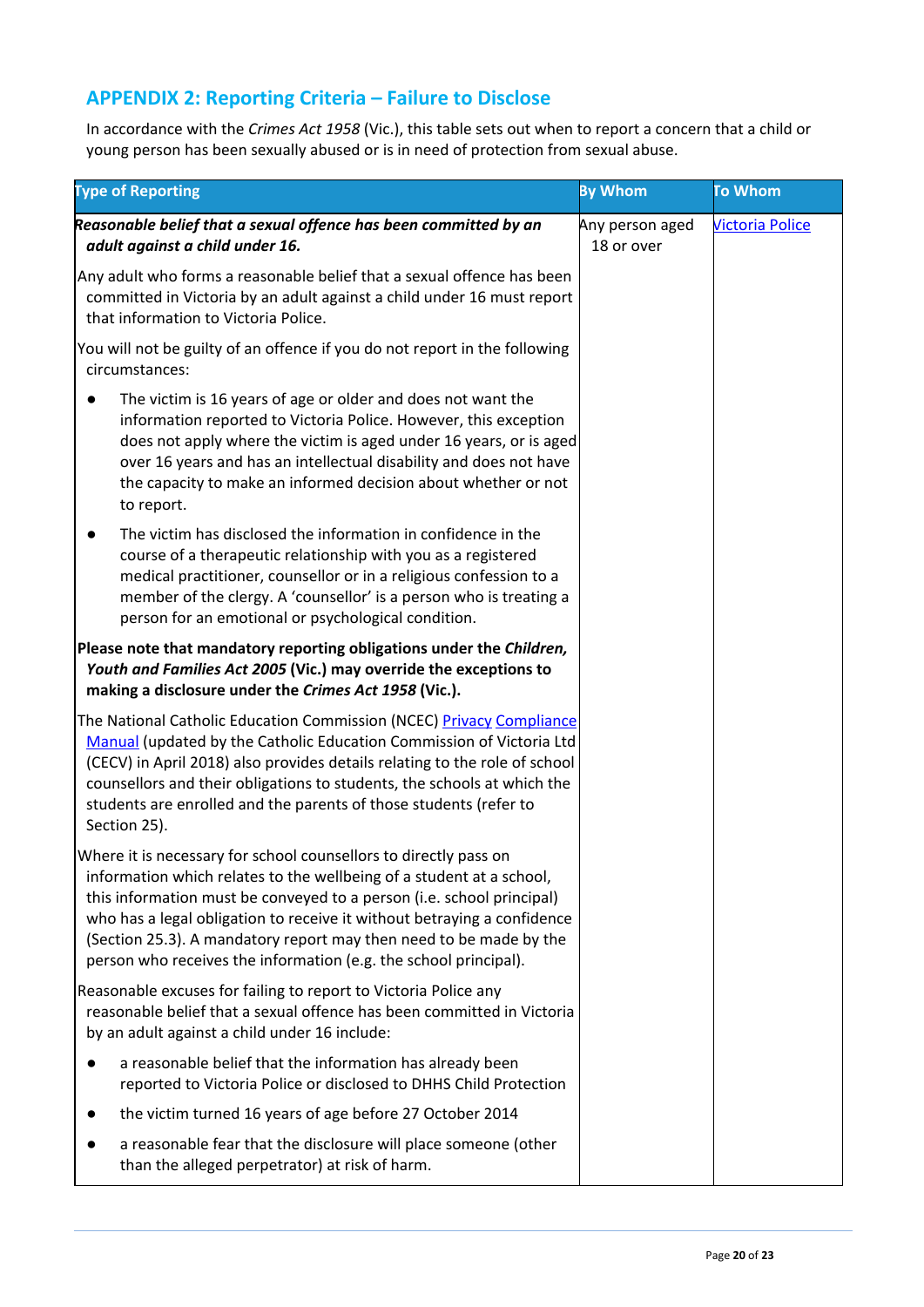# **APPENDIX 2: Reporting Criteria – Failure to Disclose**

In accordance with the *Crimes Act 1958* (Vic.), this table sets out when to report a concern that a child or young person has been sexually abused or is in need of protection from sexual abuse.

| <b>Type of Reporting</b>                                                                                                                                                                                                                                                                                                                                                                                                               | <b>By Whom</b>                | <b>To Whom</b>         |
|----------------------------------------------------------------------------------------------------------------------------------------------------------------------------------------------------------------------------------------------------------------------------------------------------------------------------------------------------------------------------------------------------------------------------------------|-------------------------------|------------------------|
| Reasonable belief that a sexual offence has been committed by an<br>adult against a child under 16.                                                                                                                                                                                                                                                                                                                                    | Any person aged<br>18 or over | <b>Victoria Police</b> |
| Any adult who forms a reasonable belief that a sexual offence has been<br>committed in Victoria by an adult against a child under 16 must report<br>that information to Victoria Police.                                                                                                                                                                                                                                               |                               |                        |
| You will not be guilty of an offence if you do not report in the following<br>circumstances:                                                                                                                                                                                                                                                                                                                                           |                               |                        |
| The victim is 16 years of age or older and does not want the<br>information reported to Victoria Police. However, this exception<br>does not apply where the victim is aged under 16 years, or is aged<br>over 16 years and has an intellectual disability and does not have<br>the capacity to make an informed decision about whether or not<br>to report.                                                                           |                               |                        |
| The victim has disclosed the information in confidence in the<br>course of a therapeutic relationship with you as a registered<br>medical practitioner, counsellor or in a religious confession to a<br>member of the clergy. A 'counsellor' is a person who is treating a<br>person for an emotional or psychological condition.                                                                                                      |                               |                        |
| Please note that mandatory reporting obligations under the Children,<br>Youth and Families Act 2005 (Vic.) may override the exceptions to<br>making a disclosure under the Crimes Act 1958 (Vic.).                                                                                                                                                                                                                                     |                               |                        |
| The National Catholic Education Commission (NCEC) Privacy Compliance<br>Manual (updated by the Catholic Education Commission of Victoria Ltd<br>(CECV) in April 2018) also provides details relating to the role of school<br>counsellors and their obligations to students, the schools at which the<br>students are enrolled and the parents of those students (refer to<br>Section 25).                                             |                               |                        |
| Where it is necessary for school counsellors to directly pass on<br>information which relates to the wellbeing of a student at a school,<br>this information must be conveyed to a person (i.e. school principal)<br>who has a legal obligation to receive it without betraying a confidence<br>(Section 25.3). A mandatory report may then need to be made by the<br>person who receives the information (e.g. the school principal). |                               |                        |
| Reasonable excuses for failing to report to Victoria Police any<br>reasonable belief that a sexual offence has been committed in Victoria<br>by an adult against a child under 16 include:                                                                                                                                                                                                                                             |                               |                        |
| a reasonable belief that the information has already been<br>reported to Victoria Police or disclosed to DHHS Child Protection                                                                                                                                                                                                                                                                                                         |                               |                        |
| the victim turned 16 years of age before 27 October 2014                                                                                                                                                                                                                                                                                                                                                                               |                               |                        |
| a reasonable fear that the disclosure will place someone (other<br>than the alleged perpetrator) at risk of harm.                                                                                                                                                                                                                                                                                                                      |                               |                        |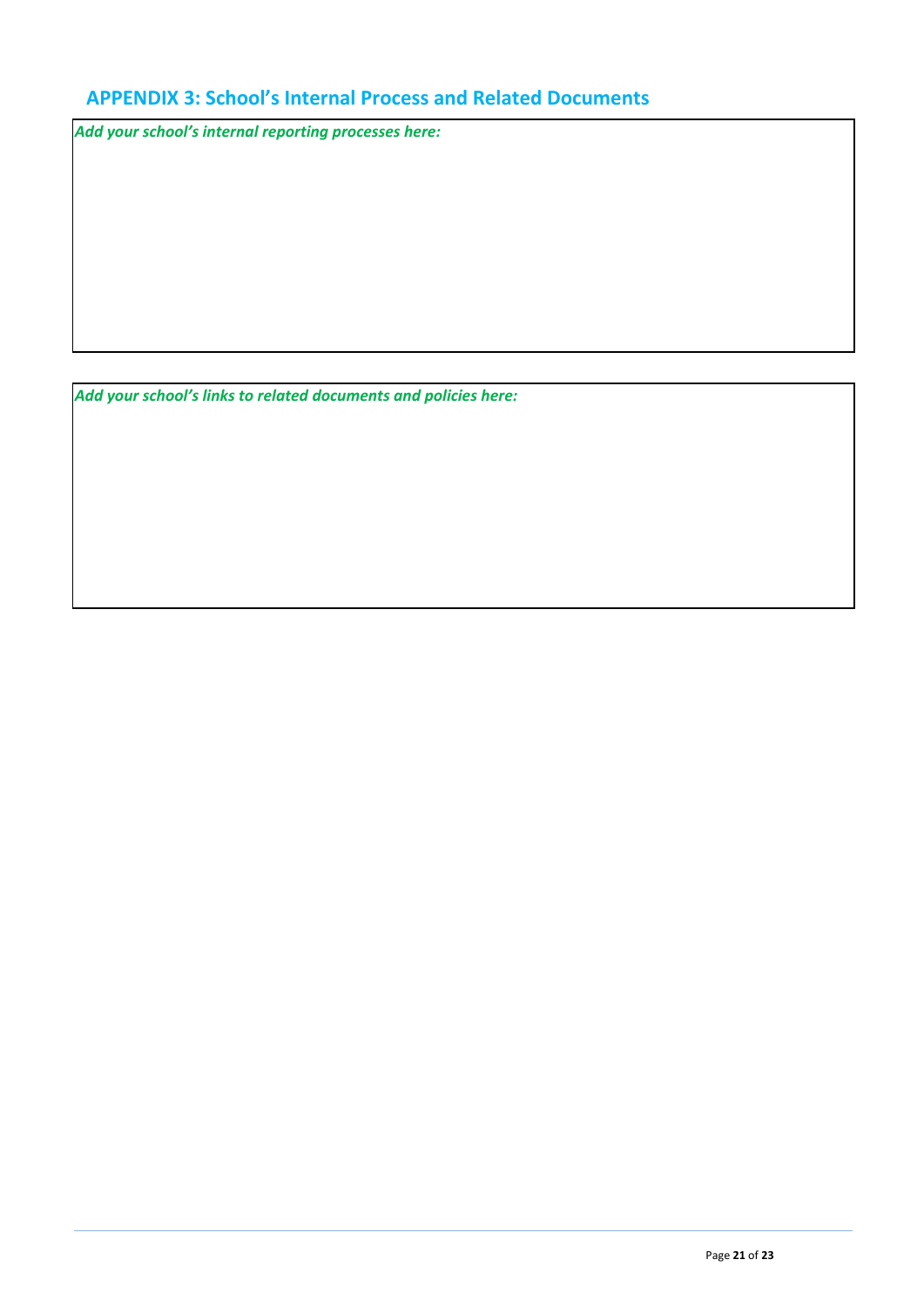# **APPENDIX 3: School's Internal Process and Related Documents**

*Add your school's internal reporting processes here:*

*Add your school's links to related documents and policies here:*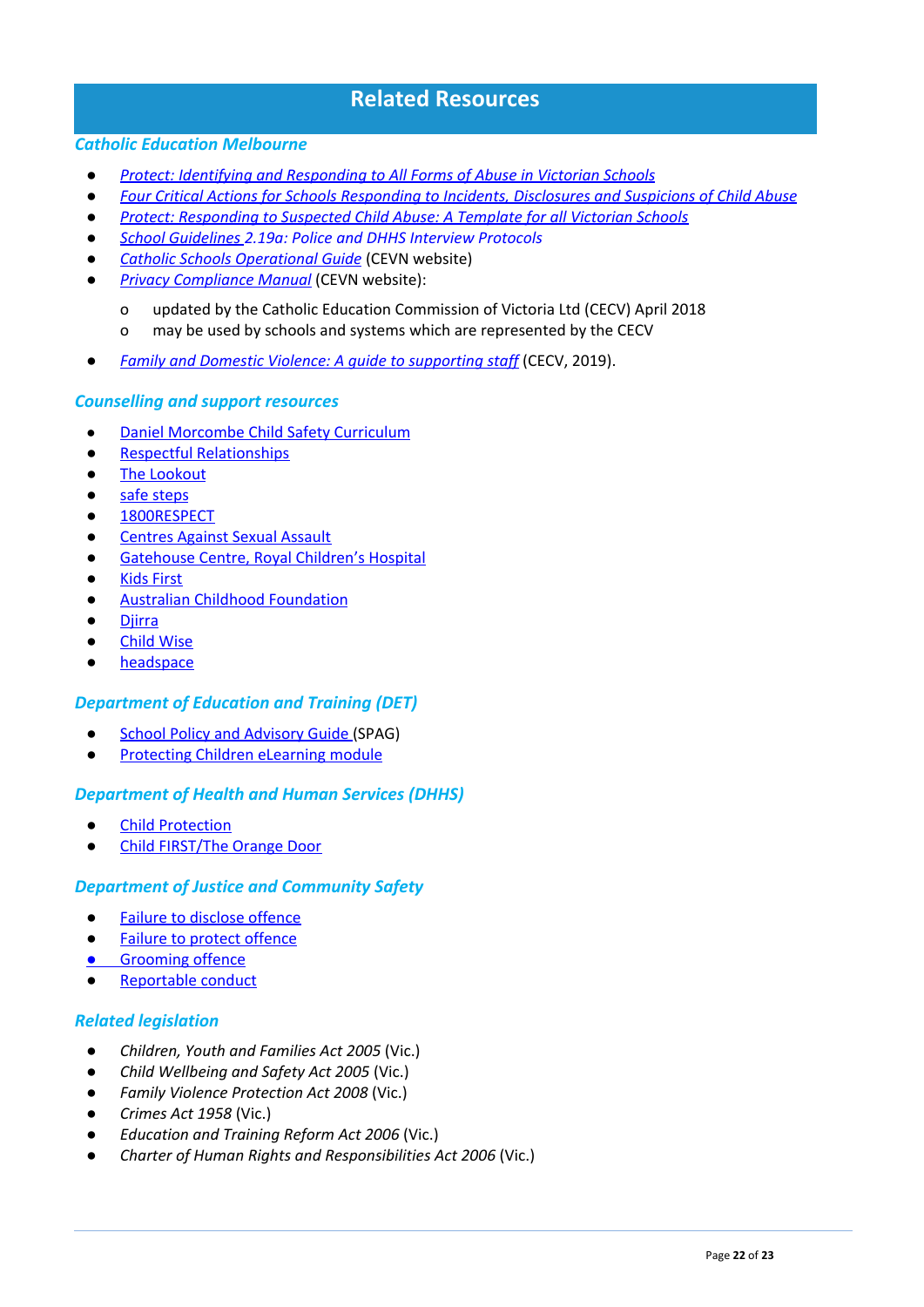# **Related Resources**

#### *Catholic Education Melbourne*

- *● Protect: Identifying and [Responding](http://www.education.vic.gov.au/Documents/about/programs/health/protect/ChildSafeStandard5_SchoolsGuide.pdf) to All Forms of Abuse in Victorian Schools*
- *● Four Critical Actions for Schools [Responding](http://www.education.vic.gov.au/Documents/about/programs/health/protect/FourCriticalActions_ChildAbuse.pdf) to Incidents, Disclosures and Suspicions of Child Abuse*
- *● Protect: [Responding](http://www.education.vic.gov.au/Documents/about/programs/health/protect/PROTECT_Responding_TemplateSchools.pdf) to Suspected Child Abuse: A Template for all Victorian Schools*
- *● School [Guidelines](https://www.cem.edu.au/About-Us/Policies/Police-and-DHHS-Interview-Protocols.aspx) 2.19a: Police and DHHS [Interview](https://www.cem.edu.au/About-Us/Policies/Police-and-DHHS-Interview-Protocols.aspx) Protocols*
- *Catholic Schools [Operational](http://cevn.cecv.catholic.edu.au/Legal_Search.htm) Guid[e](http://cevn.cecv.catholic.edu.au/Legal_Search.htm)* (CEVN website)
- *Privacy [Compliance](https://cevn.cecv.catholic.edu.au/WorkArea/DownloadAsset.aspx?id=8589934996) Manua[l](https://cevn.cecv.catholic.edu.au/WorkArea/DownloadAsset.aspx?id=8589934996)* (CEVN website):
	- o updated by the Catholic Education Commission of Victoria Ltd (CECV) April 2018
	- o may be used by schools and systems which are represented by the CECV
- *Family and Domestic Violence: A guide to [supporting](http://www.cecv.catholic.edu.au/Media-Files/IR/Policies-Guidelines/Guide-to-family-and-domestic-violence.aspx) staff* (CECV, 2019).

#### *Counselling and support resources*

- Daniel [Morcombe](http://www.danielmorcombe.com.au/blog/daniel-morcombe-child-safety-curriculum) Child Safety Curriculum
- **Respectful [Relationships](https://www.education.vic.gov.au/about/programs/Pages/respectfulrelationships.aspx)**
- The [Lookout](http://www.thelookout.org.au/)
- safe [steps](http://www.safesteps.org.au/)
- [1800RESPECT](http://www.1800respect.org.au/)
- [Centres](http://www.casa.org.au/) Against Sexual Assault
- [Gatehouse](http://www.rch.org.au/gatehouse/) Centre, Royal Children's Hospital
- Kids [First](https://www.kidsfirstaustralia.org.au/)
- Australian Childhood [Foundation](http://www.childhood.org.au/)
- [Djirra](https://djirra.org.au/)
- **[Child](http://www.childwise.org.au/) Wise**
- [headspace](http://headspace.org.au/)

#### *Department of Education and Training (DET)*

- **School Policy and [Advisory](http://www.education.vic.gov.au/school/principals/spag/Pages/spag.aspx) Guide (SPAG)**
- **[Protecting](http://www.elearn.com.au/deecd/mandatoryreporting) Children eLearning module**

#### *Department of Health and Human Services (DHHS)*

- **Child [Protection](https://services.dhhs.vic.gov.au/child-protection)**
- **Child [FIRST/The](https://services.dhhs.vic.gov.au/child-first-and-family-services) Orange Door**

#### *Department of Justice and Community Safety*

- Failure to [disclose](https://www.justice.vic.gov.au/safer-communities/protecting-children-and-families/failure-to-disclose-offence) offence
- **Failure to protect [offence](https://www.justice.vic.gov.au/safer-communities/protecting-children-and-families/failure-to-protect-a-new-criminal-offence-to)**
- [Grooming](https://www.justice.vic.gov.au/safer-communities/protecting-children-and-families/grooming-offence) offence
- [Reportable](https://www.justice.vic.gov.au/about-the-department/the-department-of-justice-and-community-safety-and-the-reportable-conduct) conduct

#### *Related legislation*

- *Children, Youth and Families Act 2005* (Vic.)
- *Child Wellbeing and Safety Act 2005* (Vic.)
- *Family Violence Protection Act 2008* (Vic.)
- *Crimes Act 1958* (Vic.)
- *Education and Training Reform Act 2006* (Vic.)
- *Charter of Human Rights and Responsibilities Act 2006* (Vic.)